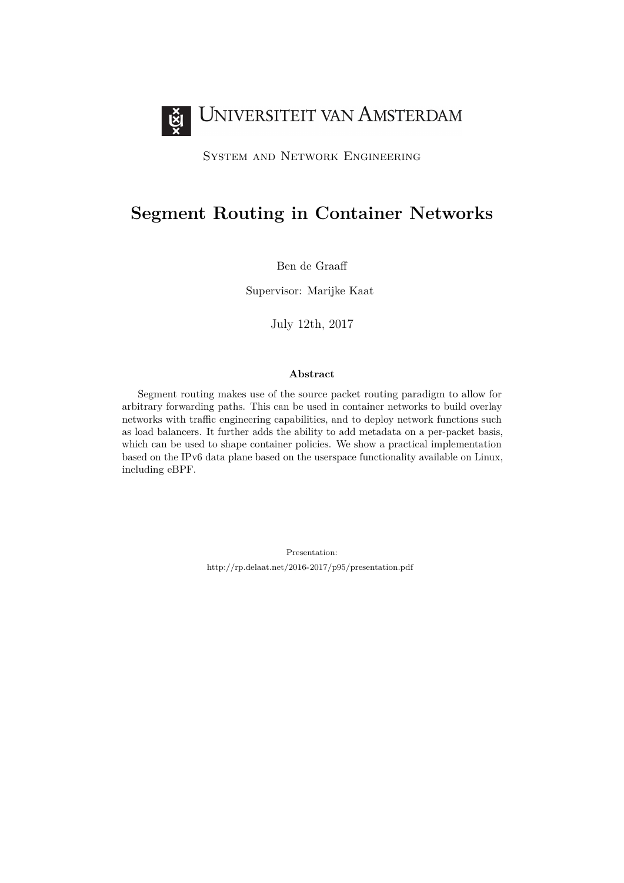

System and Network Engineering

# **Segment Routing in Container Networks**

Ben de Graaff

Supervisor: Marijke Kaat

July 12th, 2017

#### **Abstract**

Segment routing makes use of the source packet routing paradigm to allow for arbitrary forwarding paths. This can be used in container networks to build overlay networks with traffic engineering capabilities, and to deploy network functions such as load balancers. It further adds the ability to add metadata on a per-packet basis, which can be used to shape container policies. We show a practical implementation based on the IPv6 data plane based on the userspace functionality available on Linux, including eBPF.

> Presentation: <http://rp.delaat.net/2016-2017/p95/presentation.pdf>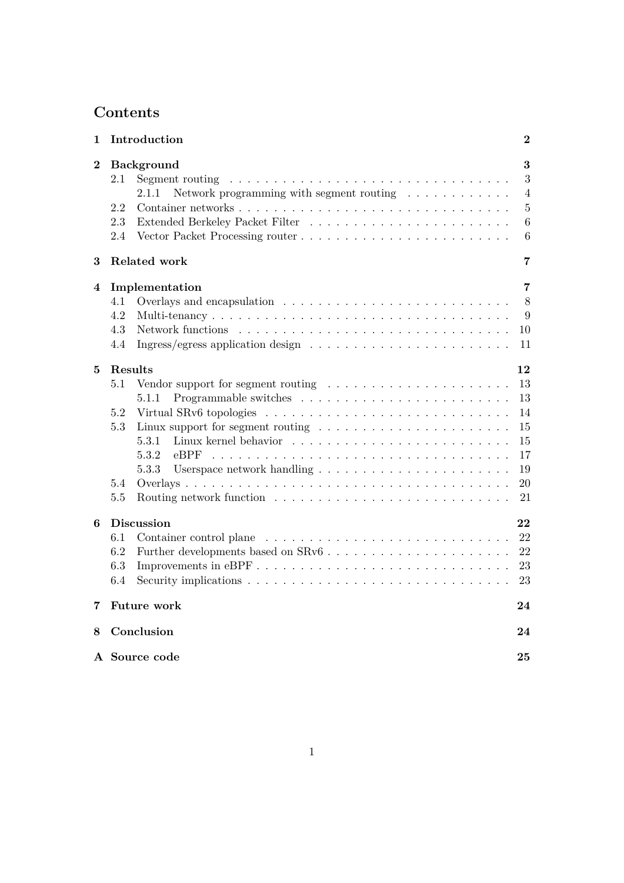# **Contents**

| 1                | Introduction                                                                                                                                                                                                                                                        | $\bf{2}$                                                 |  |  |  |
|------------------|---------------------------------------------------------------------------------------------------------------------------------------------------------------------------------------------------------------------------------------------------------------------|----------------------------------------------------------|--|--|--|
| $\boldsymbol{2}$ | <b>Background</b><br>2.1<br>Segment routing<br>the contract of the contract of the contract of the contract of the contract of the contract of the contract of<br>Network programming with segment routing $\ldots \ldots \ldots$<br>2.1.1<br>2.2<br>2.3<br>2.4     | 3<br>3<br>$\overline{4}$<br>$\bf 5$<br>$\,6\,$<br>6      |  |  |  |
| 3                | <b>Related work</b>                                                                                                                                                                                                                                                 | 7                                                        |  |  |  |
| 4                | Implementation<br>4.1<br>4.2<br>4.3<br>Ingress/egress application design $\dots \dots \dots \dots \dots \dots \dots \dots$<br>4.4                                                                                                                                   | 7<br>8<br>9<br>10<br>11                                  |  |  |  |
| 5                | Results<br>5.1<br>Vendor support for segment routing $\dots \dots \dots \dots \dots \dots \dots$<br>5.1.1<br>5.2<br>5.3<br>Linux support for segment routing $\ldots \ldots \ldots \ldots \ldots \ldots \ldots$<br>5.3.1<br>5.3.2<br>$e$ BPF<br>5.3.3<br>5.4<br>5.5 | 12<br>13<br>13<br>14<br>15<br>15<br>17<br>19<br>20<br>21 |  |  |  |
| 6                | <b>Discussion</b><br>6.1<br>6.2<br>Improvements in eBPF<br>6.3<br>6.4                                                                                                                                                                                               | 22<br>22<br>22<br>23<br>23                               |  |  |  |
| 7                | <b>Future work</b><br>24                                                                                                                                                                                                                                            |                                                          |  |  |  |
| 8                | Conclusion                                                                                                                                                                                                                                                          |                                                          |  |  |  |
|                  | A Source code                                                                                                                                                                                                                                                       |                                                          |  |  |  |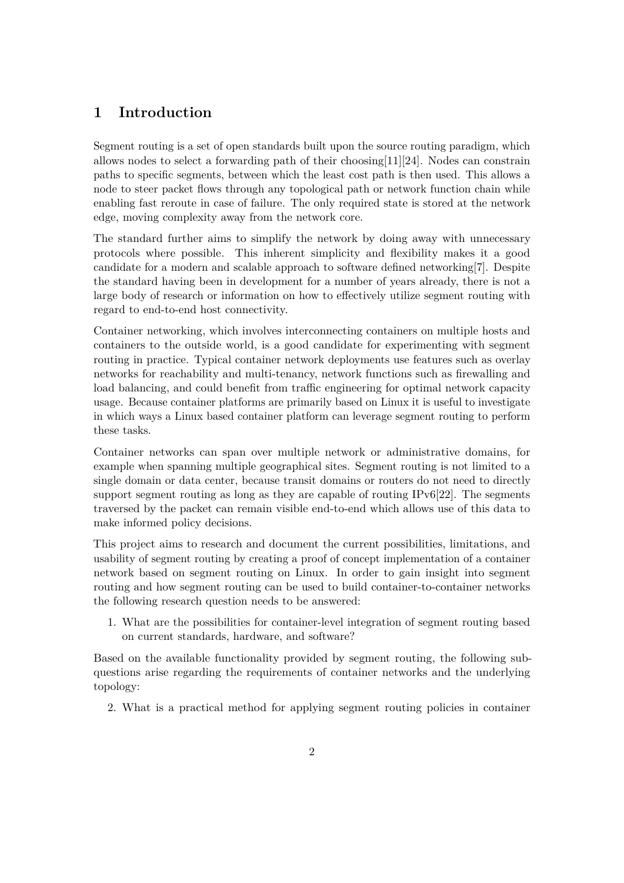# <span id="page-2-0"></span>**1 Introduction**

Segment routing is a set of open standards built upon the source routing paradigm, which allows nodes to select a forwarding path of their choosing [\[11\]](#page-26-0) [\[24\]](#page-27-0). Nodes can constrain paths to specific segments, between which the least cost path is then used. This allows a node to steer packet flows through any topological path or network function chain while enabling fast reroute in case of failure. The only required state is stored at the network edge, moving complexity away from the network core.

The standard further aims to simplify the network by doing away with unnecessary protocols where possible. This inherent simplicity and flexibility makes it a good candidate for a modern and scalable approach to software defined networking[\[7\]](#page-26-1). Despite the standard having been in development for a number of years already, there is not a large body of research or information on how to effectively utilize segment routing with regard to end-to-end host connectivity.

Container networking, which involves interconnecting containers on multiple hosts and containers to the outside world, is a good candidate for experimenting with segment routing in practice. Typical container network deployments use features such as overlay networks for reachability and multi-tenancy, network functions such as firewalling and load balancing, and could benefit from traffic engineering for optimal network capacity usage. Because container platforms are primarily based on Linux it is useful to investigate in which ways a Linux based container platform can leverage segment routing to perform these tasks.

Container networks can span over multiple network or administrative domains, for example when spanning multiple geographical sites. Segment routing is not limited to a single domain or data center, because transit domains or routers do not need to directly support segment routing as long as they are capable of routing IPv6[\[22\]](#page-27-1). The segments traversed by the packet can remain visible end-to-end which allows use of this data to make informed policy decisions.

This project aims to research and document the current possibilities, limitations, and usability of segment routing by creating a proof of concept implementation of a container network based on segment routing on Linux. In order to gain insight into segment routing and how segment routing can be used to build container-to-container networks the following research question needs to be answered:

1. What are the possibilities for container-level integration of segment routing based on current standards, hardware, and software?

Based on the available functionality provided by segment routing, the following subquestions arise regarding the requirements of container networks and the underlying topology:

2. What is a practical method for applying segment routing policies in container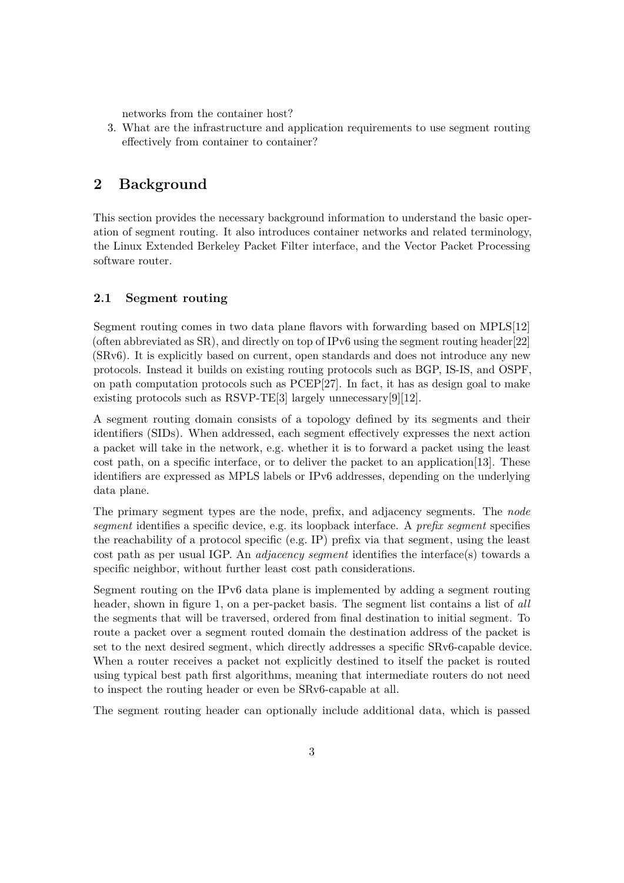networks from the container host?

3. What are the infrastructure and application requirements to use segment routing effectively from container to container?

# <span id="page-3-0"></span>**2 Background**

This section provides the necessary background information to understand the basic operation of segment routing. It also introduces container networks and related terminology, the Linux Extended Berkeley Packet Filter interface, and the Vector Packet Processing software router.

### <span id="page-3-1"></span>**2.1 Segment routing**

Segment routing comes in two data plane flavors with forwarding based on MPLS[\[12\]](#page-26-2) (often abbreviated as  $SR$ ), and directly on top of IPv6 using the segment routing header[\[22\]](#page-27-1) (SRv6). It is explicitly based on current, open standards and does not introduce any new protocols. Instead it builds on existing routing protocols such as BGP, IS-IS, and OSPF, on path computation protocols such as PCEP[\[27\]](#page-28-0). In fact, it has as design goal to make existing protocols such as RSVP-TE[\[3\]](#page-26-3) largely unnecessary[\[9\]](#page-26-4)[\[12\]](#page-26-2).

A segment routing domain consists of a topology defined by its segments and their identifiers (SIDs). When addressed, each segment effectively expresses the next action a packet will take in the network, e.g. whether it is to forward a packet using the least cost path, on a specific interface, or to deliver the packet to an application[\[13\]](#page-26-5). These identifiers are expressed as MPLS labels or IPv6 addresses, depending on the underlying data plane.

The primary segment types are the node, prefix, and adjacency segments. The *node segment* identifies a specific device, e.g. its loopback interface. A *prefix segment* specifies the reachability of a protocol specific (e.g. IP) prefix via that segment, using the least cost path as per usual IGP. An *adjacency segment* identifies the interface(s) towards a specific neighbor, without further least cost path considerations.

Segment routing on the IPv6 data plane is implemented by adding a segment routing header, shown in figure [1,](#page-4-1) on a per-packet basis. The segment list contains a list of *all* the segments that will be traversed, ordered from final destination to initial segment. To route a packet over a segment routed domain the destination address of the packet is set to the next desired segment, which directly addresses a specific SRv6-capable device. When a router receives a packet not explicitly destined to itself the packet is routed using typical best path first algorithms, meaning that intermediate routers do not need to inspect the routing header or even be SRv6-capable at all.

The segment routing header can optionally include additional data, which is passed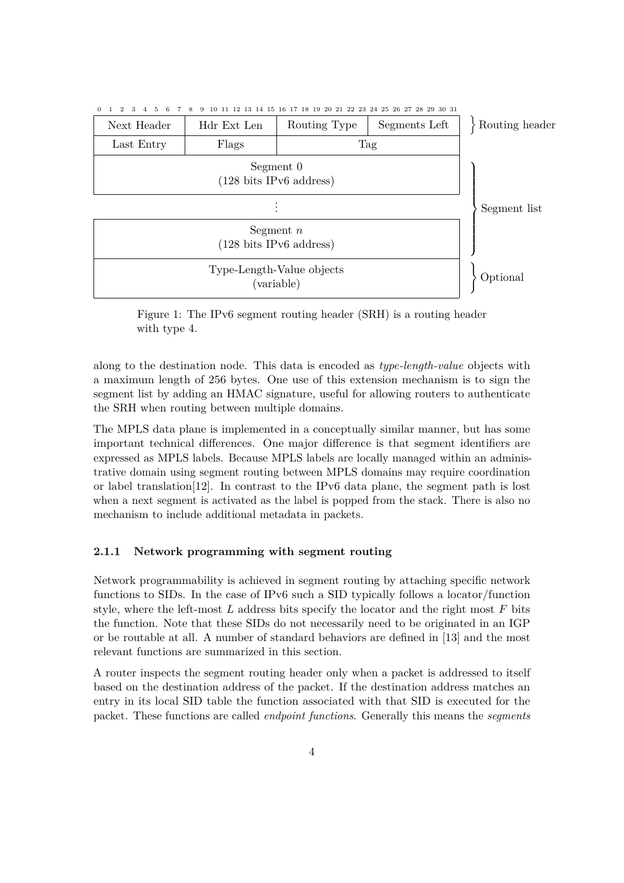<span id="page-4-1"></span>

Figure 1: The IPv6 segment routing header (SRH) is a routing header with type 4.

along to the destination node. This data is encoded as *type-length-value* objects with a maximum length of 256 bytes. One use of this extension mechanism is to sign the segment list by adding an HMAC signature, useful for allowing routers to authenticate the SRH when routing between multiple domains.

The MPLS data plane is implemented in a conceptually similar manner, but has some important technical differences. One major difference is that segment identifiers are expressed as MPLS labels. Because MPLS labels are locally managed within an administrative domain using segment routing between MPLS domains may require coordination or label translation[\[12\]](#page-26-2). In contrast to the IPv6 data plane, the segment path is lost when a next segment is activated as the label is popped from the stack. There is also no mechanism to include additional metadata in packets.

### <span id="page-4-0"></span>**2.1.1 Network programming with segment routing**

Network programmability is achieved in segment routing by attaching specific network functions to SIDs. In the case of IPv6 such a SID typically follows a locator/function style, where the left-most *L* address bits specify the locator and the right most *F* bits the function. Note that these SIDs do not necessarily need to be originated in an IGP or be routable at all. A number of standard behaviors are defined in [\[13\]](#page-26-5) and the most relevant functions are summarized in this section.

A router inspects the segment routing header only when a packet is addressed to itself based on the destination address of the packet. If the destination address matches an entry in its local SID table the function associated with that SID is executed for the packet. These functions are called *endpoint functions*. Generally this means the *segments*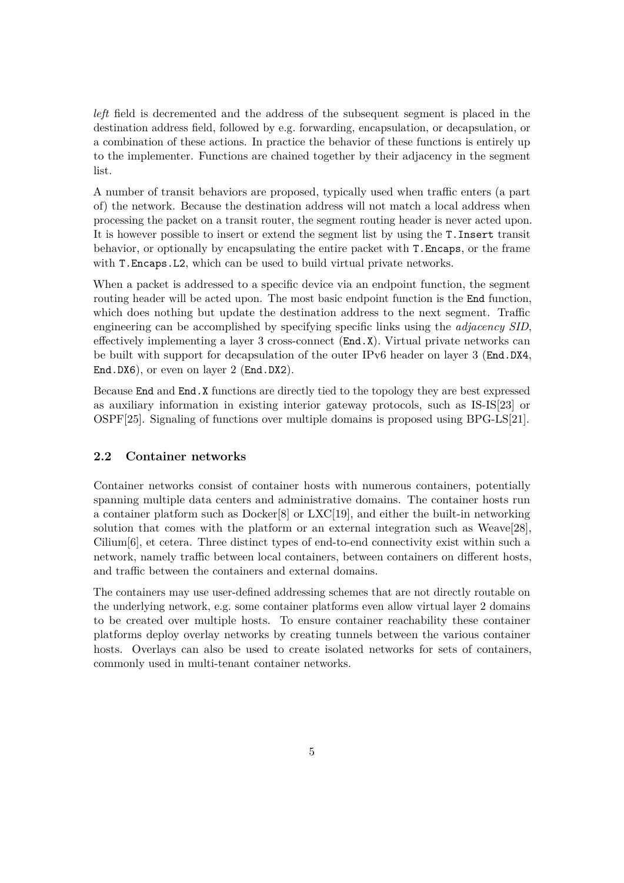*left* field is decremented and the address of the subsequent segment is placed in the destination address field, followed by e.g. forwarding, encapsulation, or decapsulation, or a combination of these actions. In practice the behavior of these functions is entirely up to the implementer. Functions are chained together by their adjacency in the segment list.

A number of transit behaviors are proposed, typically used when traffic enters (a part of) the network. Because the destination address will not match a local address when processing the packet on a transit router, the segment routing header is never acted upon. It is however possible to insert or extend the segment list by using the T.Insert transit behavior, or optionally by encapsulating the entire packet with T.Encaps, or the frame with T.Encaps.L2, which can be used to build virtual private networks.

When a packet is addressed to a specific device via an endpoint function, the segment routing header will be acted upon. The most basic endpoint function is the End function, which does nothing but update the destination address to the next segment. Traffic engineering can be accomplished by specifying specific links using the *adjacency SID*, effectively implementing a layer 3 cross-connect (End.X). Virtual private networks can be built with support for decapsulation of the outer IPv6 header on layer 3 (End.DX4, End.DX6), or even on layer 2 (End.DX2).

Because End and End.X functions are directly tied to the topology they are best expressed as auxiliary information in existing interior gateway protocols, such as IS-IS[\[23\]](#page-27-2) or OSPF[\[25\]](#page-27-3). Signaling of functions over multiple domains is proposed using BPG-LS[\[21\]](#page-27-4).

### <span id="page-5-0"></span>**2.2 Container networks**

Container networks consist of container hosts with numerous containers, potentially spanning multiple data centers and administrative domains. The container hosts run a container platform such as Docker[\[8\]](#page-26-6) or LXC[\[19\]](#page-27-5), and either the built-in networking solution that comes with the platform or an external integration such as Weave[\[28\]](#page-28-1), Cilium[\[6\]](#page-26-7), et cetera. Three distinct types of end-to-end connectivity exist within such a network, namely traffic between local containers, between containers on different hosts, and traffic between the containers and external domains.

The containers may use user-defined addressing schemes that are not directly routable on the underlying network, e.g. some container platforms even allow virtual layer 2 domains to be created over multiple hosts. To ensure container reachability these container platforms deploy overlay networks by creating tunnels between the various container hosts. Overlays can also be used to create isolated networks for sets of containers, commonly used in multi-tenant container networks.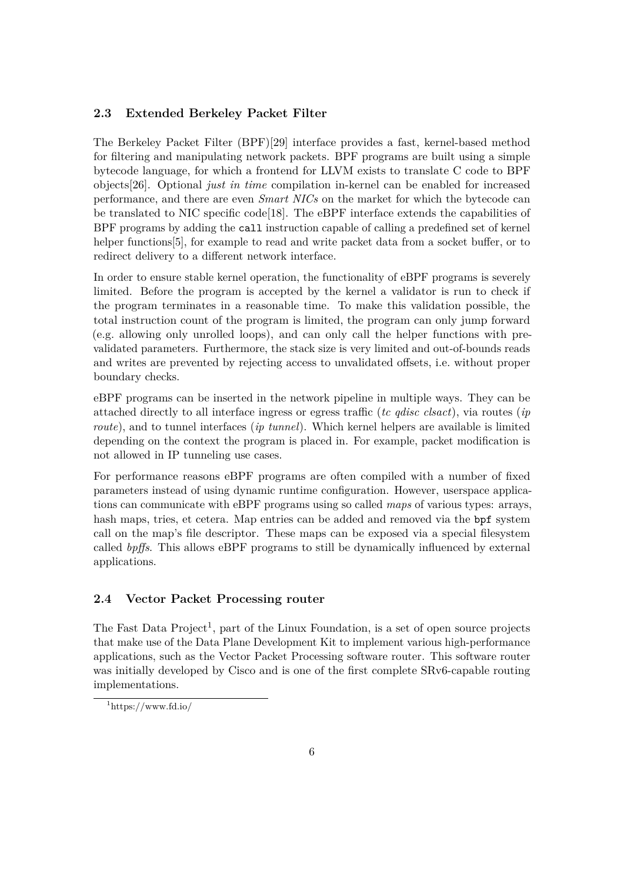### <span id="page-6-0"></span>**2.3 Extended Berkeley Packet Filter**

The Berkeley Packet Filter (BPF)[\[29\]](#page-28-2) interface provides a fast, kernel-based method for filtering and manipulating network packets. BPF programs are built using a simple bytecode language, for which a frontend for LLVM exists to translate C code to BPF objects[\[26\]](#page-28-3). Optional *just in time* compilation in-kernel can be enabled for increased performance, and there are even *Smart NICs* on the market for which the bytecode can be translated to NIC specific code[\[18\]](#page-27-6). The eBPF interface extends the capabilities of BPF programs by adding the call instruction capable of calling a predefined set of kernel helper functions [\[5\]](#page-26-8), for example to read and write packet data from a socket buffer, or to redirect delivery to a different network interface.

In order to ensure stable kernel operation, the functionality of eBPF programs is severely limited. Before the program is accepted by the kernel a validator is run to check if the program terminates in a reasonable time. To make this validation possible, the total instruction count of the program is limited, the program can only jump forward (e.g. allowing only unrolled loops), and can only call the helper functions with prevalidated parameters. Furthermore, the stack size is very limited and out-of-bounds reads and writes are prevented by rejecting access to unvalidated offsets, i.e. without proper boundary checks.

eBPF programs can be inserted in the network pipeline in multiple ways. They can be attached directly to all interface ingress or egress traffic (*tc qdisc clsact*), via routes (*ip route*), and to tunnel interfaces (*ip tunnel*). Which kernel helpers are available is limited depending on the context the program is placed in. For example, packet modification is not allowed in IP tunneling use cases.

For performance reasons eBPF programs are often compiled with a number of fixed parameters instead of using dynamic runtime configuration. However, userspace applications can communicate with eBPF programs using so called *maps* of various types: arrays, hash maps, tries, et cetera. Map entries can be added and removed via the bpf system call on the map's file descriptor. These maps can be exposed via a special filesystem called *bpffs*. This allows eBPF programs to still be dynamically influenced by external applications.

### <span id="page-6-1"></span>**2.4 Vector Packet Processing router**

The Fast Data Project<sup>[1](#page-6-2)</sup>, part of the Linux Foundation, is a set of open source projects that make use of the Data Plane Development Kit to implement various high-performance applications, such as the Vector Packet Processing software router. This software router was initially developed by Cisco and is one of the first complete SRv6-capable routing implementations.

<span id="page-6-2"></span> $1$ <https://www.fd.io/>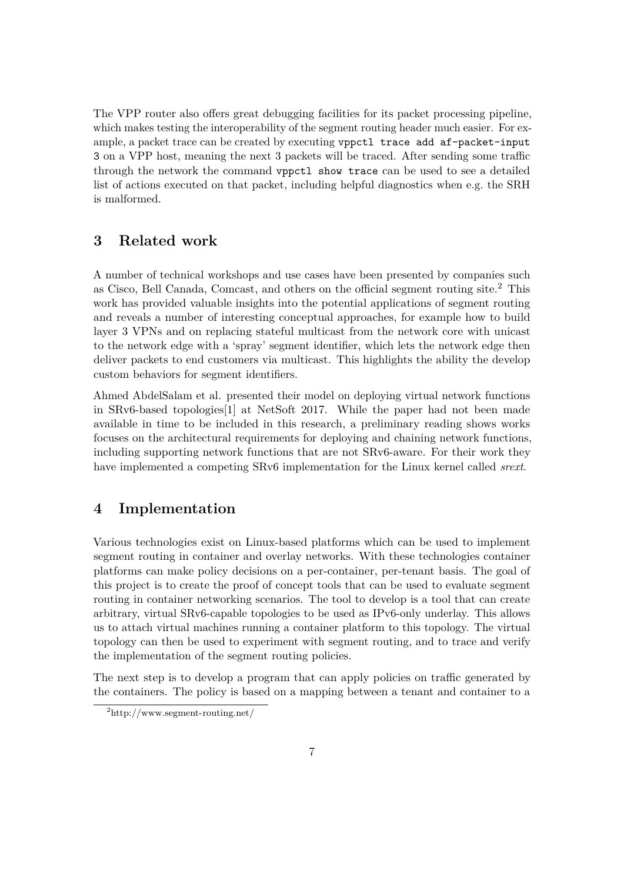The VPP router also offers great debugging facilities for its packet processing pipeline, which makes testing the interoperability of the segment routing header much easier. For example, a packet trace can be created by executing vppctl trace add af-packet-input 3 on a VPP host, meaning the next 3 packets will be traced. After sending some traffic through the network the command vppctl show trace can be used to see a detailed list of actions executed on that packet, including helpful diagnostics when e.g. the SRH is malformed.

# <span id="page-7-0"></span>**3 Related work**

A number of technical workshops and use cases have been presented by companies such as Cisco, Bell Canada, Comcast, and others on the official segment routing site.[2](#page-7-2) This work has provided valuable insights into the potential applications of segment routing and reveals a number of interesting conceptual approaches, for example how to build layer 3 VPNs and on replacing stateful multicast from the network core with unicast to the network edge with a 'spray' segment identifier, which lets the network edge then deliver packets to end customers via multicast. This highlights the ability the develop custom behaviors for segment identifiers.

Ahmed AbdelSalam et al. presented their model on deploying virtual network functions in SRv6-based topologies[\[1\]](#page-26-9) at NetSoft 2017. While the paper had not been made available in time to be included in this research, a preliminary reading shows works focuses on the architectural requirements for deploying and chaining network functions, including supporting network functions that are not SRv6-aware. For their work they have implemented a competing SRv6 implementation for the Linux kernel called *srext*.

## <span id="page-7-1"></span>**4 Implementation**

Various technologies exist on Linux-based platforms which can be used to implement segment routing in container and overlay networks. With these technologies container platforms can make policy decisions on a per-container, per-tenant basis. The goal of this project is to create the proof of concept tools that can be used to evaluate segment routing in container networking scenarios. The tool to develop is a tool that can create arbitrary, virtual SRv6-capable topologies to be used as IPv6-only underlay. This allows us to attach virtual machines running a container platform to this topology. The virtual topology can then be used to experiment with segment routing, and to trace and verify the implementation of the segment routing policies.

The next step is to develop a program that can apply policies on traffic generated by the containers. The policy is based on a mapping between a tenant and container to a

<span id="page-7-2"></span><sup>2</sup><http://www.segment-routing.net/>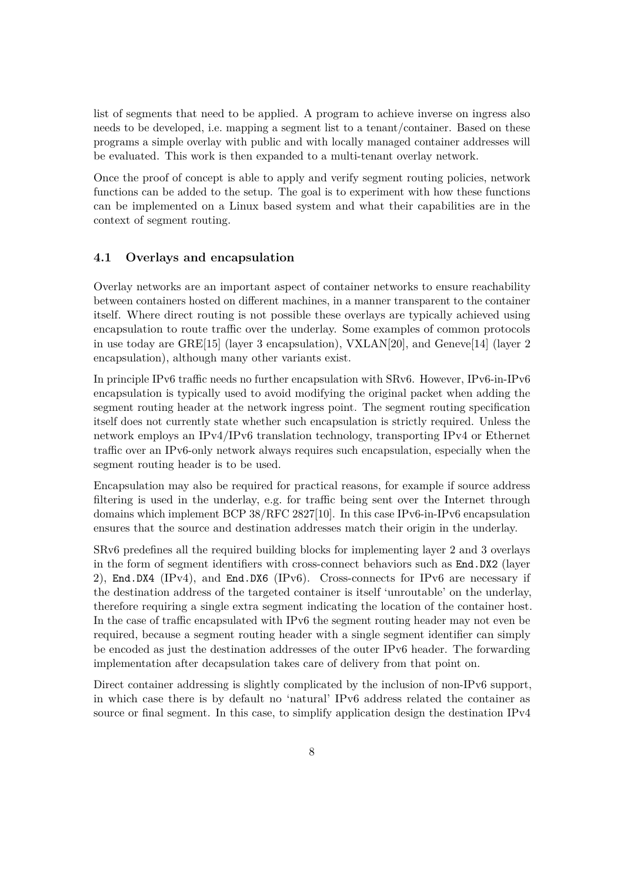list of segments that need to be applied. A program to achieve inverse on ingress also needs to be developed, i.e. mapping a segment list to a tenant/container. Based on these programs a simple overlay with public and with locally managed container addresses will be evaluated. This work is then expanded to a multi-tenant overlay network.

Once the proof of concept is able to apply and verify segment routing policies, network functions can be added to the setup. The goal is to experiment with how these functions can be implemented on a Linux based system and what their capabilities are in the context of segment routing.

#### <span id="page-8-0"></span>**4.1 Overlays and encapsulation**

Overlay networks are an important aspect of container networks to ensure reachability between containers hosted on different machines, in a manner transparent to the container itself. Where direct routing is not possible these overlays are typically achieved using encapsulation to route traffic over the underlay. Some examples of common protocols in use today are GRE[\[15\]](#page-27-7) (layer 3 encapsulation), VXLAN[\[20\]](#page-27-8), and Geneve[\[14\]](#page-27-9) (layer 2 encapsulation), although many other variants exist.

In principle IPv6 traffic needs no further encapsulation with SRv6. However, IPv6-in-IPv6 encapsulation is typically used to avoid modifying the original packet when adding the segment routing header at the network ingress point. The segment routing specification itself does not currently state whether such encapsulation is strictly required. Unless the network employs an IPv4/IPv6 translation technology, transporting IPv4 or Ethernet traffic over an IPv6-only network always requires such encapsulation, especially when the segment routing header is to be used.

Encapsulation may also be required for practical reasons, for example if source address filtering is used in the underlay, e.g. for traffic being sent over the Internet through domains which implement BCP 38/RFC 2827[\[10\]](#page-26-10). In this case IPv6-in-IPv6 encapsulation ensures that the source and destination addresses match their origin in the underlay.

SRv6 predefines all the required building blocks for implementing layer 2 and 3 overlays in the form of segment identifiers with cross-connect behaviors such as End.DX2 (layer 2), End.DX4 (IPv4), and End.DX6 (IPv6). Cross-connects for IPv6 are necessary if the destination address of the targeted container is itself 'unroutable' on the underlay, therefore requiring a single extra segment indicating the location of the container host. In the case of traffic encapsulated with IPv6 the segment routing header may not even be required, because a segment routing header with a single segment identifier can simply be encoded as just the destination addresses of the outer IPv6 header. The forwarding implementation after decapsulation takes care of delivery from that point on.

Direct container addressing is slightly complicated by the inclusion of non-IPv6 support, in which case there is by default no 'natural' IPv6 address related the container as source or final segment. In this case, to simplify application design the destination IPv4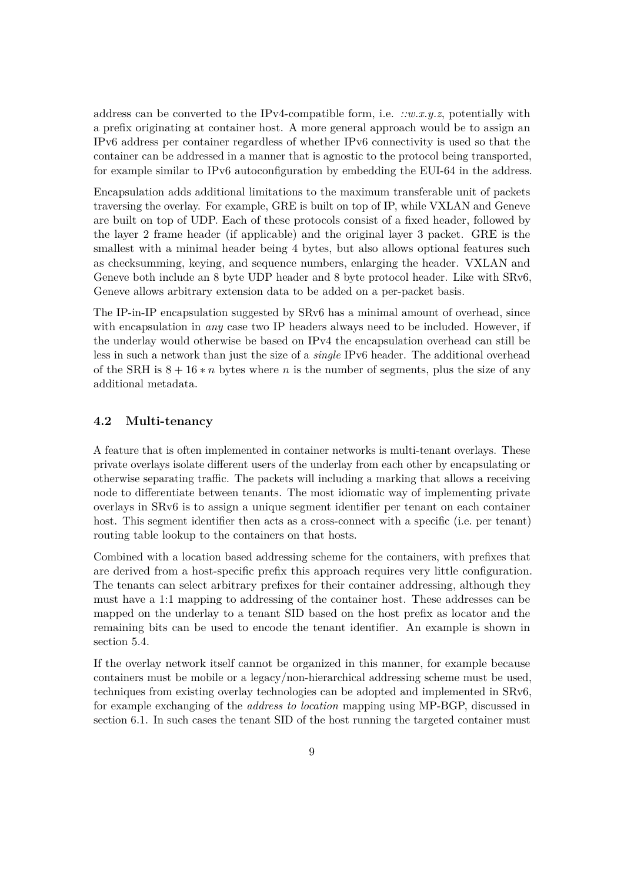address can be converted to the IPv4-compatible form, i.e. *::w.x.y.z*, potentially with a prefix originating at container host. A more general approach would be to assign an IPv6 address per container regardless of whether IPv6 connectivity is used so that the container can be addressed in a manner that is agnostic to the protocol being transported, for example similar to IPv6 autoconfiguration by embedding the EUI-64 in the address.

Encapsulation adds additional limitations to the maximum transferable unit of packets traversing the overlay. For example, GRE is built on top of IP, while VXLAN and Geneve are built on top of UDP. Each of these protocols consist of a fixed header, followed by the layer 2 frame header (if applicable) and the original layer 3 packet. GRE is the smallest with a minimal header being 4 bytes, but also allows optional features such as checksumming, keying, and sequence numbers, enlarging the header. VXLAN and Geneve both include an 8 byte UDP header and 8 byte protocol header. Like with SRv6, Geneve allows arbitrary extension data to be added on a per-packet basis.

The IP-in-IP encapsulation suggested by SRv6 has a minimal amount of overhead, since with encapsulation in *any* case two IP headers always need to be included. However, if the underlay would otherwise be based on IPv4 the encapsulation overhead can still be less in such a network than just the size of a *single* IPv6 header. The additional overhead of the SRH is 8 + 16 ∗ *n* bytes where *n* is the number of segments, plus the size of any additional metadata.

#### <span id="page-9-0"></span>**4.2 Multi-tenancy**

A feature that is often implemented in container networks is multi-tenant overlays. These private overlays isolate different users of the underlay from each other by encapsulating or otherwise separating traffic. The packets will including a marking that allows a receiving node to differentiate between tenants. The most idiomatic way of implementing private overlays in SRv6 is to assign a unique segment identifier per tenant on each container host. This segment identifier then acts as a cross-connect with a specific (i.e. per tenant) routing table lookup to the containers on that hosts.

Combined with a location based addressing scheme for the containers, with prefixes that are derived from a host-specific prefix this approach requires very little configuration. The tenants can select arbitrary prefixes for their container addressing, although they must have a 1:1 mapping to addressing of the container host. These addresses can be mapped on the underlay to a tenant SID based on the host prefix as locator and the remaining bits can be used to encode the tenant identifier. An example is shown in section [5.4.](#page-20-0)

If the overlay network itself cannot be organized in this manner, for example because containers must be mobile or a legacy/non-hierarchical addressing scheme must be used, techniques from existing overlay technologies can be adopted and implemented in SRv6, for example exchanging of the *address to location* mapping using MP-BGP, discussed in section [6.1.](#page-22-1) In such cases the tenant SID of the host running the targeted container must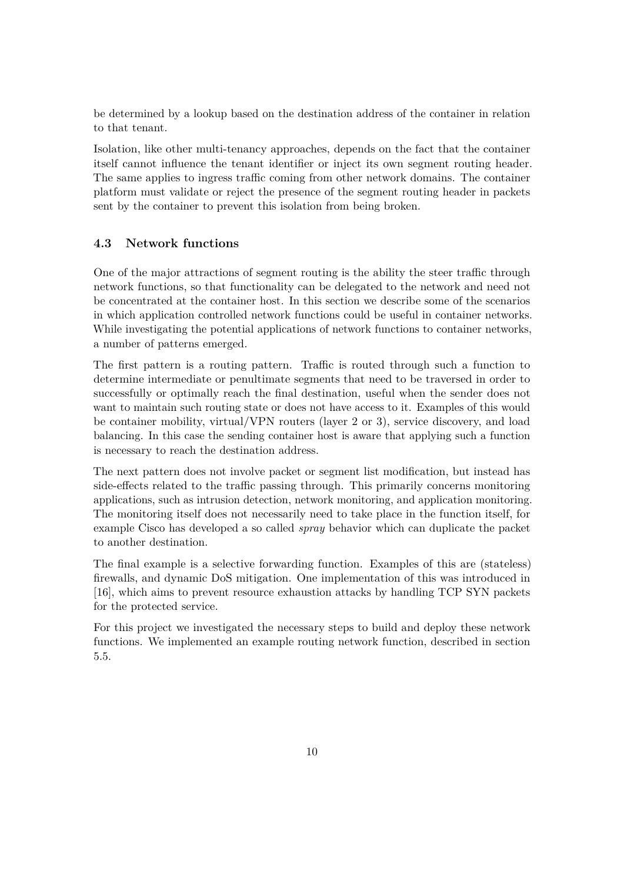be determined by a lookup based on the destination address of the container in relation to that tenant.

Isolation, like other multi-tenancy approaches, depends on the fact that the container itself cannot influence the tenant identifier or inject its own segment routing header. The same applies to ingress traffic coming from other network domains. The container platform must validate or reject the presence of the segment routing header in packets sent by the container to prevent this isolation from being broken.

#### <span id="page-10-0"></span>**4.3 Network functions**

One of the major attractions of segment routing is the ability the steer traffic through network functions, so that functionality can be delegated to the network and need not be concentrated at the container host. In this section we describe some of the scenarios in which application controlled network functions could be useful in container networks. While investigating the potential applications of network functions to container networks, a number of patterns emerged.

The first pattern is a routing pattern. Traffic is routed through such a function to determine intermediate or penultimate segments that need to be traversed in order to successfully or optimally reach the final destination, useful when the sender does not want to maintain such routing state or does not have access to it. Examples of this would be container mobility, virtual/VPN routers (layer 2 or 3), service discovery, and load balancing. In this case the sending container host is aware that applying such a function is necessary to reach the destination address.

The next pattern does not involve packet or segment list modification, but instead has side-effects related to the traffic passing through. This primarily concerns monitoring applications, such as intrusion detection, network monitoring, and application monitoring. The monitoring itself does not necessarily need to take place in the function itself, for example Cisco has developed a so called *spray* behavior which can duplicate the packet to another destination.

The final example is a selective forwarding function. Examples of this are (stateless) firewalls, and dynamic DoS mitigation. One implementation of this was introduced in [\[16\]](#page-27-10), which aims to prevent resource exhaustion attacks by handling TCP SYN packets for the protected service.

For this project we investigated the necessary steps to build and deploy these network functions. We implemented an example routing network function, described in section [5.5.](#page-21-0)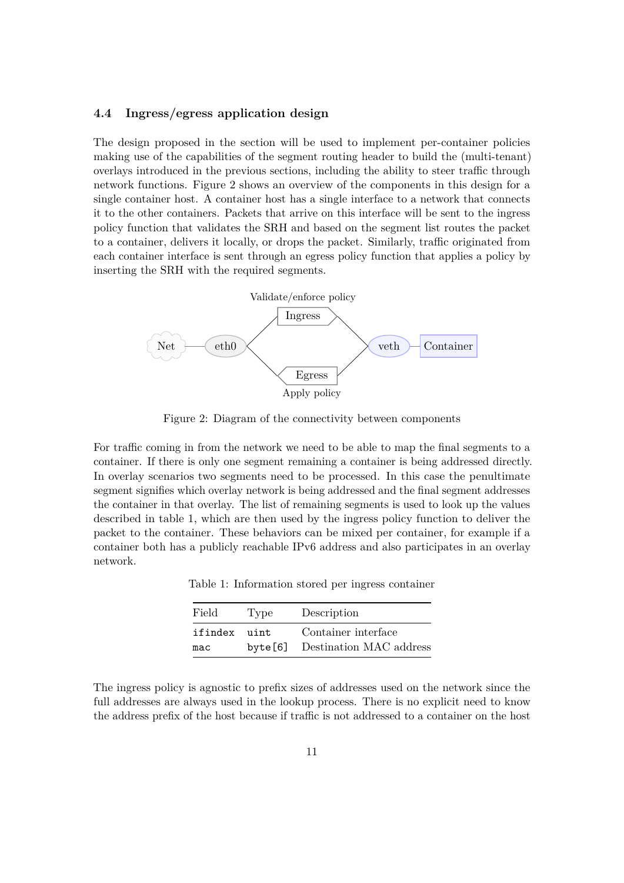### <span id="page-11-0"></span>**4.4 Ingress/egress application design**

The design proposed in the section will be used to implement per-container policies making use of the capabilities of the segment routing header to build the (multi-tenant) overlays introduced in the previous sections, including the ability to steer traffic through network functions. Figure [2](#page-11-1) shows an overview of the components in this design for a single container host. A container host has a single interface to a network that connects it to the other containers. Packets that arrive on this interface will be sent to the ingress policy function that validates the SRH and based on the segment list routes the packet to a container, delivers it locally, or drops the packet. Similarly, traffic originated from each container interface is sent through an egress policy function that applies a policy by inserting the SRH with the required segments.

<span id="page-11-1"></span>

Figure 2: Diagram of the connectivity between components

For traffic coming in from the network we need to be able to map the final segments to a container. If there is only one segment remaining a container is being addressed directly. In overlay scenarios two segments need to be processed. In this case the penultimate segment signifies which overlay network is being addressed and the final segment addresses the container in that overlay. The list of remaining segments is used to look up the values described in table [1,](#page-11-2) which are then used by the ingress policy function to deliver the packet to the container. These behaviors can be mixed per container, for example if a container both has a publicly reachable IPv6 address and also participates in an overlay network.

<span id="page-11-2"></span>Table 1: Information stored per ingress container

| Field   | Type    | Description             |
|---------|---------|-------------------------|
| ifindex | uint    | Container interface     |
| mac     | byte[6] | Destination MAC address |

The ingress policy is agnostic to prefix sizes of addresses used on the network since the full addresses are always used in the lookup process. There is no explicit need to know the address prefix of the host because if traffic is not addressed to a container on the host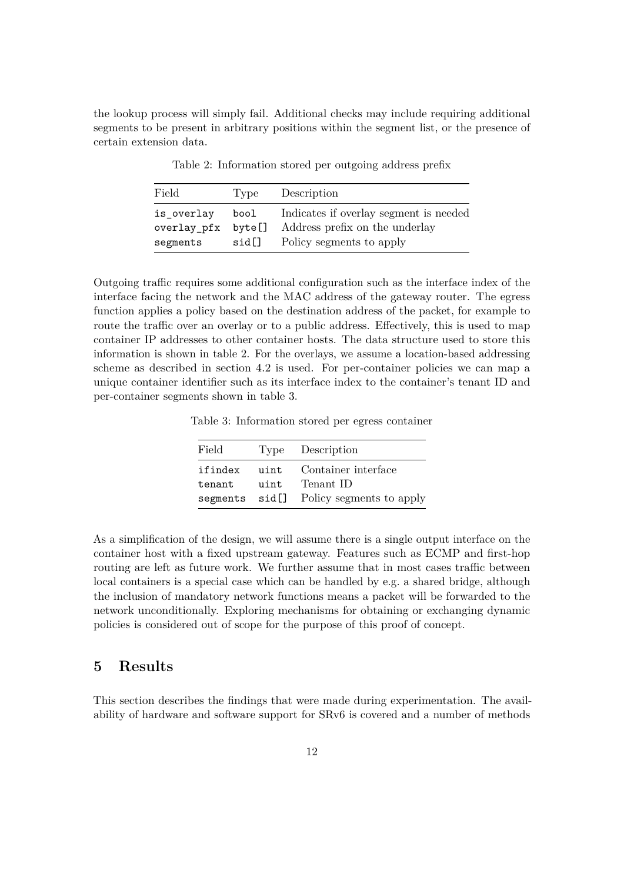<span id="page-12-1"></span>the lookup process will simply fail. Additional checks may include requiring additional segments to be present in arbitrary positions within the segment list, or the presence of certain extension data.

| Field       | Type   | Description                            |
|-------------|--------|----------------------------------------|
| is_overlay  | bool   | Indicates if overlay segment is needed |
| overlay_pfx | byte[] | Address prefix on the underlay         |
| segments    | sid[]  | Policy segments to apply               |

Table 2: Information stored per outgoing address prefix

Outgoing traffic requires some additional configuration such as the interface index of the interface facing the network and the MAC address of the gateway router. The egress function applies a policy based on the destination address of the packet, for example to route the traffic over an overlay or to a public address. Effectively, this is used to map container IP addresses to other container hosts. The data structure used to store this information is shown in table [2.](#page-12-1) For the overlays, we assume a location-based addressing scheme as described in section [4.2](#page-9-0) is used. For per-container policies we can map a unique container identifier such as its interface index to the container's tenant ID and per-container segments shown in table [3.](#page-12-2)

<span id="page-12-2"></span>Table 3: Information stored per egress container

| Field   |      | Type Description                        |
|---------|------|-----------------------------------------|
| ifindex | uint | Container interface                     |
| tenant  | uint | Tenant ID                               |
|         |      | segments sid[] Policy segments to apply |

As a simplification of the design, we will assume there is a single output interface on the container host with a fixed upstream gateway. Features such as ECMP and first-hop routing are left as future work. We further assume that in most cases traffic between local containers is a special case which can be handled by e.g. a shared bridge, although the inclusion of mandatory network functions means a packet will be forwarded to the network unconditionally. Exploring mechanisms for obtaining or exchanging dynamic policies is considered out of scope for the purpose of this proof of concept.

# <span id="page-12-0"></span>**5 Results**

This section describes the findings that were made during experimentation. The availability of hardware and software support for SRv6 is covered and a number of methods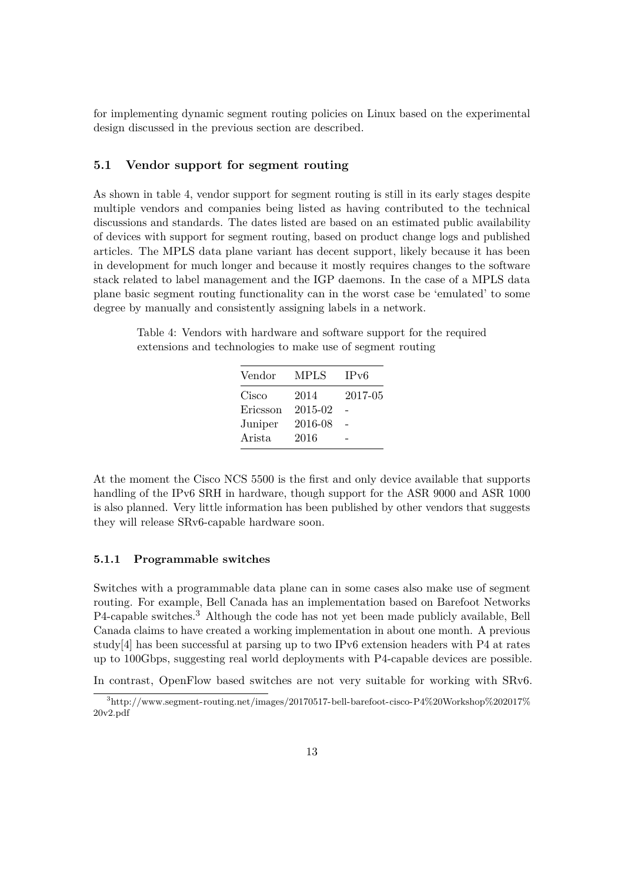for implementing dynamic segment routing policies on Linux based on the experimental design discussed in the previous section are described.

#### <span id="page-13-0"></span>**5.1 Vendor support for segment routing**

As shown in table [4,](#page-13-2) vendor support for segment routing is still in its early stages despite multiple vendors and companies being listed as having contributed to the technical discussions and standards. The dates listed are based on an estimated public availability of devices with support for segment routing, based on product change logs and published articles. The MPLS data plane variant has decent support, likely because it has been in development for much longer and because it mostly requires changes to the software stack related to label management and the IGP daemons. In the case of a MPLS data plane basic segment routing functionality can in the worst case be 'emulated' to some degree by manually and consistently assigning labels in a network.

<span id="page-13-2"></span>Table 4: Vendors with hardware and software support for the required extensions and technologies to make use of segment routing

| Vendor   | MPLS    | IPv6    |
|----------|---------|---------|
| Cisco    | 2014    | 2017-05 |
| Ericsson | 2015-02 |         |
| Juniper  | 2016-08 |         |
| Arista   | 2016    |         |
|          |         |         |

At the moment the Cisco NCS 5500 is the first and only device available that supports handling of the IPv6 SRH in hardware, though support for the ASR 9000 and ASR 1000 is also planned. Very little information has been published by other vendors that suggests they will release SRv6-capable hardware soon.

#### <span id="page-13-1"></span>**5.1.1 Programmable switches**

Switches with a programmable data plane can in some cases also make use of segment routing. For example, Bell Canada has an implementation based on Barefoot Networks P4-capable switches.[3](#page-13-3) Although the code has not yet been made publicly available, Bell Canada claims to have created a working implementation in about one month. A previous study[\[4\]](#page-26-11) has been successful at parsing up to two IPv6 extension headers with P4 at rates up to 100Gbps, suggesting real world deployments with P4-capable devices are possible.

In contrast, OpenFlow based switches are not very suitable for working with SRv6.

<span id="page-13-3"></span><sup>3</sup>[http://www.segment-routing.net/images/20170517-bell-barefoot-cisco-P4%20Workshop%202017%](http://www.segment-routing.net/images/20170517-bell-barefoot-cisco-P4%20Workshop%202017%20v2.pdf) [20v2.pdf](http://www.segment-routing.net/images/20170517-bell-barefoot-cisco-P4%20Workshop%202017%20v2.pdf)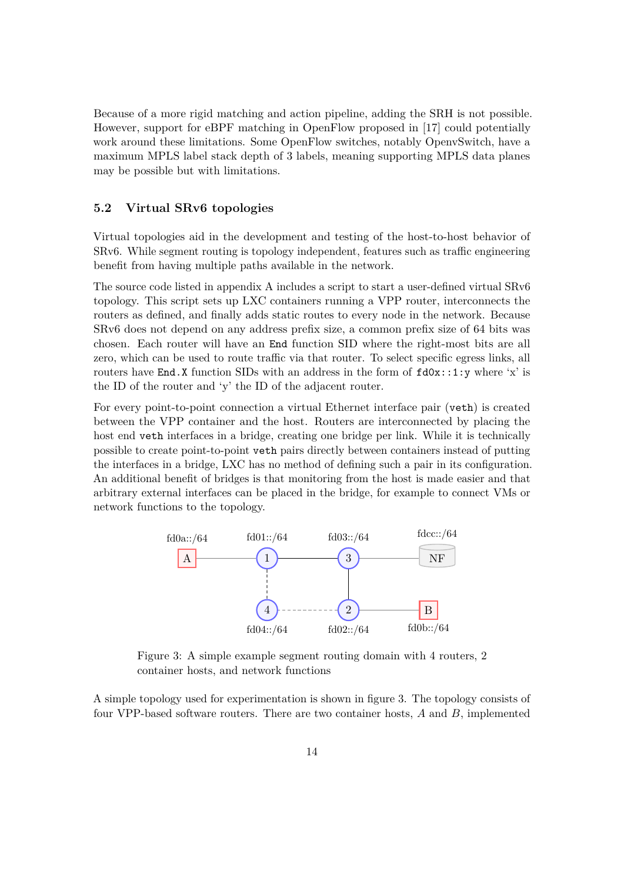Because of a more rigid matching and action pipeline, adding the SRH is not possible. However, support for eBPF matching in OpenFlow proposed in [\[17\]](#page-27-11) could potentially work around these limitations. Some OpenFlow switches, notably OpenvSwitch, have a maximum MPLS label stack depth of 3 labels, meaning supporting MPLS data planes may be possible but with limitations.

#### <span id="page-14-0"></span>**5.2 Virtual SRv6 topologies**

Virtual topologies aid in the development and testing of the host-to-host behavior of SRv6. While segment routing is topology independent, features such as traffic engineering benefit from having multiple paths available in the network.

The source code listed in appendix [A](#page-25-0) includes a script to start a user-defined virtual SRv6 topology. This script sets up LXC containers running a VPP router, interconnects the routers as defined, and finally adds static routes to every node in the network. Because SRv6 does not depend on any address prefix size, a common prefix size of 64 bits was chosen. Each router will have an End function SID where the right-most bits are all zero, which can be used to route traffic via that router. To select specific egress links, all routers have End.X function SIDs with an address in the form of  $fdOx: : 1:y$  where 'x' is the ID of the router and 'y' the ID of the adjacent router.

For every point-to-point connection a virtual Ethernet interface pair (veth) is created between the VPP container and the host. Routers are interconnected by placing the host end veth interfaces in a bridge, creating one bridge per link. While it is technically possible to create point-to-point veth pairs directly between containers instead of putting the interfaces in a bridge, LXC has no method of defining such a pair in its configuration. An additional benefit of bridges is that monitoring from the host is made easier and that arbitrary external interfaces can be placed in the bridge, for example to connect VMs or network functions to the topology.

<span id="page-14-1"></span>

Figure 3: A simple example segment routing domain with 4 routers, 2 container hosts, and network functions

A simple topology used for experimentation is shown in figure [3.](#page-14-1) The topology consists of four VPP-based software routers. There are two container hosts, *A* and *B*, implemented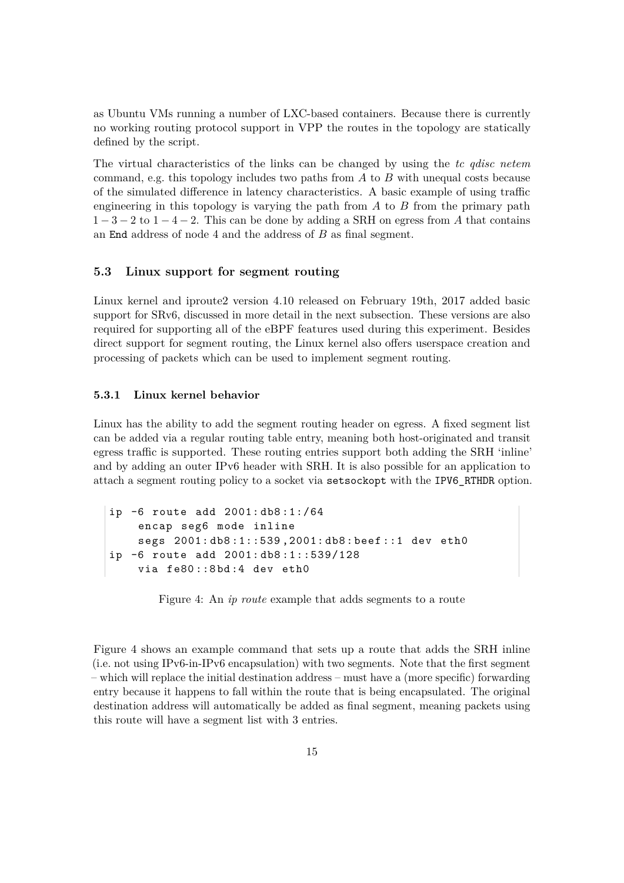as Ubuntu VMs running a number of LXC-based containers. Because there is currently no working routing protocol support in VPP the routes in the topology are statically defined by the script.

The virtual characteristics of the links can be changed by using the *tc qdisc netem* command, e.g. this topology includes two paths from *A* to *B* with unequal costs because of the simulated difference in latency characteristics. A basic example of using traffic engineering in this topology is varying the path from *A* to *B* from the primary path  $1-3-2$  to  $1-4-2$ . This can be done by adding a SRH on egress from A that contains an End address of node 4 and the address of *B* as final segment.

#### <span id="page-15-0"></span>**5.3 Linux support for segment routing**

Linux kernel and iproute2 version 4.10 released on February 19th, 2017 added basic support for SRv6, discussed in more detail in the next subsection. These versions are also required for supporting all of the eBPF features used during this experiment. Besides direct support for segment routing, the Linux kernel also offers userspace creation and processing of packets which can be used to implement segment routing.

### <span id="page-15-1"></span>**5.3.1 Linux kernel behavior**

Linux has the ability to add the segment routing header on egress. A fixed segment list can be added via a regular routing table entry, meaning both host-originated and transit egress traffic is supported. These routing entries support both adding the SRH 'inline' and by adding an outer IPv6 header with SRH. It is also possible for an application to attach a segment routing policy to a socket via setsockopt with the IPV6\_RTHDR option.

<span id="page-15-2"></span>ip -6 route add 2001: db8 :1:/64 encap seg6 mode inline segs 2001: db8 :1::539 ,2001: db8 : beef ::1 dev eth0 ip -6 route add 2001: db8 :1::539/128 via fe80::8bd:4 dev eth0

Figure 4: An *ip route* example that adds segments to a route

Figure [4](#page-15-2) shows an example command that sets up a route that adds the SRH inline (i.e. not using IPv6-in-IPv6 encapsulation) with two segments. Note that the first segment – which will replace the initial destination address – must have a (more specific) forwarding entry because it happens to fall within the route that is being encapsulated. The original destination address will automatically be added as final segment, meaning packets using this route will have a segment list with 3 entries.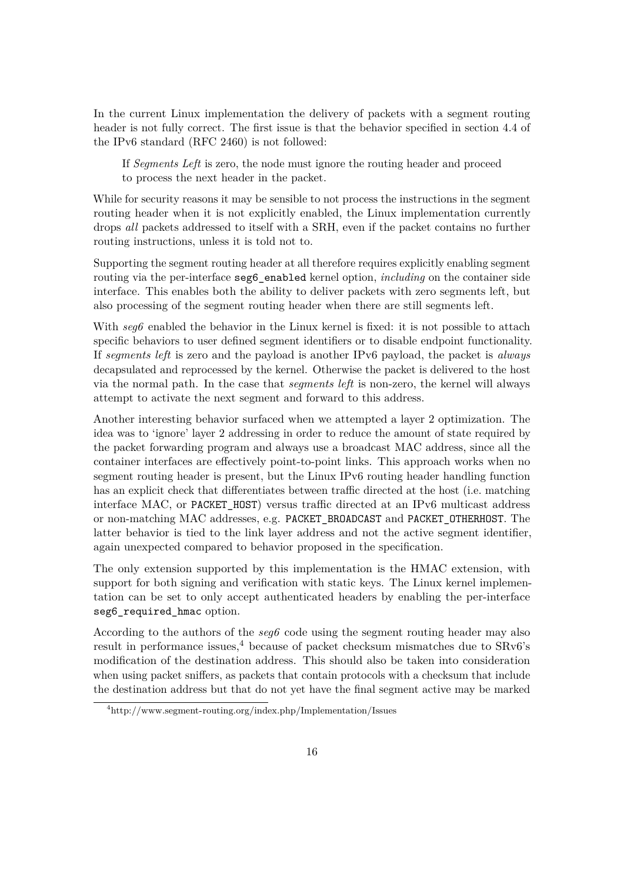In the current Linux implementation the delivery of packets with a segment routing header is not fully correct. The first issue is that the behavior specified in section 4.4 of the IPv6 standard (RFC 2460) is not followed:

If *Segments Left* is zero, the node must ignore the routing header and proceed to process the next header in the packet.

While for security reasons it may be sensible to not process the instructions in the segment routing header when it is not explicitly enabled, the Linux implementation currently drops *all* packets addressed to itself with a SRH, even if the packet contains no further routing instructions, unless it is told not to.

Supporting the segment routing header at all therefore requires explicitly enabling segment routing via the per-interface seg6\_enabled kernel option, *including* on the container side interface. This enables both the ability to deliver packets with zero segments left, but also processing of the segment routing header when there are still segments left.

With  $seq6$  enabled the behavior in the Linux kernel is fixed: it is not possible to attach specific behaviors to user defined segment identifiers or to disable endpoint functionality. If *segments left* is zero and the payload is another IPv6 payload, the packet is *always* decapsulated and reprocessed by the kernel. Otherwise the packet is delivered to the host via the normal path. In the case that *segments left* is non-zero, the kernel will always attempt to activate the next segment and forward to this address.

Another interesting behavior surfaced when we attempted a layer 2 optimization. The idea was to 'ignore' layer 2 addressing in order to reduce the amount of state required by the packet forwarding program and always use a broadcast MAC address, since all the container interfaces are effectively point-to-point links. This approach works when no segment routing header is present, but the Linux IPv6 routing header handling function has an explicit check that differentiates between traffic directed at the host (i.e. matching interface MAC, or PACKET\_HOST) versus traffic directed at an IPv6 multicast address or non-matching MAC addresses, e.g. PACKET\_BROADCAST and PACKET\_OTHERHOST. The latter behavior is tied to the link layer address and not the active segment identifier, again unexpected compared to behavior proposed in the specification.

The only extension supported by this implementation is the HMAC extension, with support for both signing and verification with static keys. The Linux kernel implementation can be set to only accept authenticated headers by enabling the per-interface seg6\_required\_hmac option.

According to the authors of the *seg6* code using the segment routing header may also result in performance issues,<sup>[4](#page-16-0)</sup> because of packet checksum mismatches due to  $SRv6's$ modification of the destination address. This should also be taken into consideration when using packet sniffers, as packets that contain protocols with a checksum that include the destination address but that do not yet have the final segment active may be marked

<span id="page-16-0"></span><sup>4</sup><http://www.segment-routing.org/index.php/Implementation/Issues>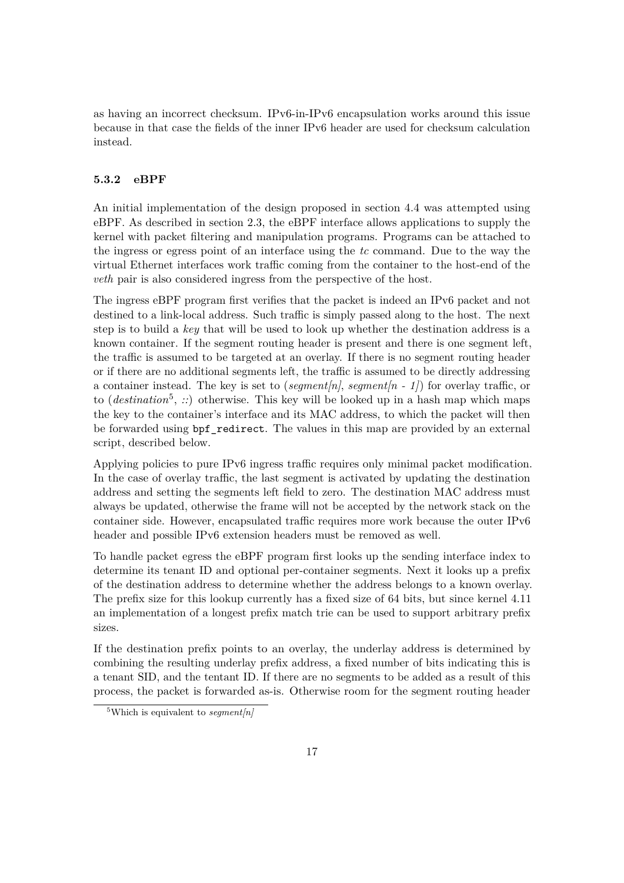as having an incorrect checksum. IPv6-in-IPv6 encapsulation works around this issue because in that case the fields of the inner IPv6 header are used for checksum calculation instead.

#### <span id="page-17-0"></span>**5.3.2 eBPF**

An initial implementation of the design proposed in section [4.4](#page-11-0) was attempted using eBPF. As described in section [2.3,](#page-6-0) the eBPF interface allows applications to supply the kernel with packet filtering and manipulation programs. Programs can be attached to the ingress or egress point of an interface using the *tc* command. Due to the way the virtual Ethernet interfaces work traffic coming from the container to the host-end of the *veth* pair is also considered ingress from the perspective of the host.

The ingress eBPF program first verifies that the packet is indeed an IPv6 packet and not destined to a link-local address. Such traffic is simply passed along to the host. The next step is to build a *key* that will be used to look up whether the destination address is a known container. If the segment routing header is present and there is one segment left, the traffic is assumed to be targeted at an overlay. If there is no segment routing header or if there are no additional segments left, the traffic is assumed to be directly addressing a container instead. The key is set to (*segment[n]*, *segment[n - 1]*) for overlay traffic, or to  $(destination<sup>5</sup>, ...)$  $(destination<sup>5</sup>, ...)$  $(destination<sup>5</sup>, ...)$  otherwise. This key will be looked up in a hash map which maps the key to the container's interface and its MAC address, to which the packet will then be forwarded using bpf\_redirect. The values in this map are provided by an external script, described below.

Applying policies to pure IPv6 ingress traffic requires only minimal packet modification. In the case of overlay traffic, the last segment is activated by updating the destination address and setting the segments left field to zero. The destination MAC address must always be updated, otherwise the frame will not be accepted by the network stack on the container side. However, encapsulated traffic requires more work because the outer IPv6 header and possible IPv6 extension headers must be removed as well.

To handle packet egress the eBPF program first looks up the sending interface index to determine its tenant ID and optional per-container segments. Next it looks up a prefix of the destination address to determine whether the address belongs to a known overlay. The prefix size for this lookup currently has a fixed size of 64 bits, but since kernel 4.11 an implementation of a longest prefix match trie can be used to support arbitrary prefix sizes.

If the destination prefix points to an overlay, the underlay address is determined by combining the resulting underlay prefix address, a fixed number of bits indicating this is a tenant SID, and the tentant ID. If there are no segments to be added as a result of this process, the packet is forwarded as-is. Otherwise room for the segment routing header

<span id="page-17-1"></span><sup>&</sup>lt;sup>5</sup>Which is equivalent to *segment[n]*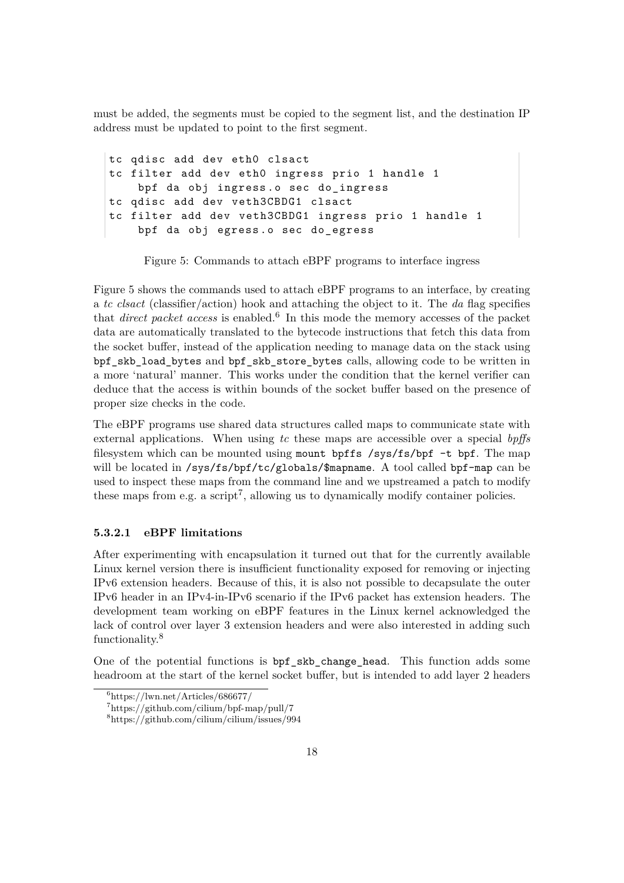must be added, the segments must be copied to the segment list, and the destination IP address must be updated to point to the first segment.

```
tc qdisc add dev eth0 clsact
tc filter add dev eth0 ingress prio 1 handle 1
    bpf da obj ingress.o sec do_ingress
tc qdisc add dev veth3CBDG1 clsact
tc filter add dev veth3CBDG1 ingress prio 1 handle 1
    bpf da obj egress . o sec do_egress
```
Figure 5: Commands to attach eBPF programs to interface ingress

Figure [5](#page-18-0) shows the commands used to attach eBPF programs to an interface, by creating a *tc clsact* (classifier/action) hook and attaching the object to it. The *da* flag specifies that *direct packet access* is enabled.<sup>[6](#page-18-1)</sup> In this mode the memory accesses of the packet data are automatically translated to the bytecode instructions that fetch this data from the socket buffer, instead of the application needing to manage data on the stack using bpf\_skb\_load\_bytes and bpf\_skb\_store\_bytes calls, allowing code to be written in a more 'natural' manner. This works under the condition that the kernel verifier can deduce that the access is within bounds of the socket buffer based on the presence of proper size checks in the code.

The eBPF programs use shared data structures called maps to communicate state with external applications. When using *tc* these maps are accessible over a special *bpffs* filesystem which can be mounted using mount bpffs /sys/fs/bpf -t bpf. The map will be located in  $\sqrt{s}$ ys/fs/bpf/tc/globals/\$mapname. A tool called bpf-map can be used to inspect these maps from the command line and we upstreamed a patch to modify these maps from e.g. a script<sup>[7](#page-18-2)</sup>, allowing us to dynamically modify container policies.

#### **5.3.2.1 eBPF limitations**

After experimenting with encapsulation it turned out that for the currently available Linux kernel version there is insufficient functionality exposed for removing or injecting IPv6 extension headers. Because of this, it is also not possible to decapsulate the outer IPv6 header in an IPv4-in-IPv6 scenario if the IPv6 packet has extension headers. The development team working on eBPF features in the Linux kernel acknowledged the lack of control over layer 3 extension headers and were also interested in adding such functionality.[8](#page-18-3)

One of the potential functions is bpf\_skb\_change\_head. This function adds some headroom at the start of the kernel socket buffer, but is intended to add layer 2 headers

<span id="page-18-1"></span> $6$ <https://lwn.net/Articles/686677/>

<span id="page-18-2"></span><sup>7</sup><https://github.com/cilium/bpf-map/pull/7>

<span id="page-18-3"></span><sup>8</sup><https://github.com/cilium/cilium/issues/994>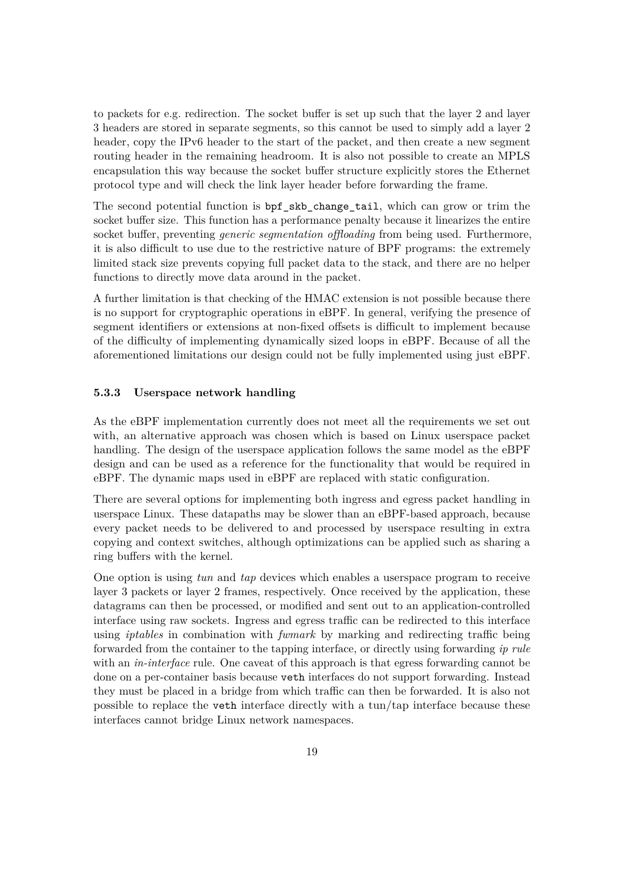to packets for e.g. redirection. The socket buffer is set up such that the layer 2 and layer 3 headers are stored in separate segments, so this cannot be used to simply add a layer 2 header, copy the IPv6 header to the start of the packet, and then create a new segment routing header in the remaining headroom. It is also not possible to create an MPLS encapsulation this way because the socket buffer structure explicitly stores the Ethernet protocol type and will check the link layer header before forwarding the frame.

The second potential function is bpf\_skb\_change\_tail, which can grow or trim the socket buffer size. This function has a performance penalty because it linearizes the entire socket buffer, preventing *generic segmentation offloading* from being used. Furthermore, it is also difficult to use due to the restrictive nature of BPF programs: the extremely limited stack size prevents copying full packet data to the stack, and there are no helper functions to directly move data around in the packet.

A further limitation is that checking of the HMAC extension is not possible because there is no support for cryptographic operations in eBPF. In general, verifying the presence of segment identifiers or extensions at non-fixed offsets is difficult to implement because of the difficulty of implementing dynamically sized loops in eBPF. Because of all the aforementioned limitations our design could not be fully implemented using just eBPF.

#### <span id="page-19-0"></span>**5.3.3 Userspace network handling**

As the eBPF implementation currently does not meet all the requirements we set out with, an alternative approach was chosen which is based on Linux userspace packet handling. The design of the userspace application follows the same model as the eBPF design and can be used as a reference for the functionality that would be required in eBPF. The dynamic maps used in eBPF are replaced with static configuration.

There are several options for implementing both ingress and egress packet handling in userspace Linux. These datapaths may be slower than an eBPF-based approach, because every packet needs to be delivered to and processed by userspace resulting in extra copying and context switches, although optimizations can be applied such as sharing a ring buffers with the kernel.

One option is using *tun* and *tap* devices which enables a userspace program to receive layer 3 packets or layer 2 frames, respectively. Once received by the application, these datagrams can then be processed, or modified and sent out to an application-controlled interface using raw sockets. Ingress and egress traffic can be redirected to this interface using *iptables* in combination with *fwmark* by marking and redirecting traffic being forwarded from the container to the tapping interface, or directly using forwarding *ip rule* with an *in-interface* rule. One caveat of this approach is that egress forwarding cannot be done on a per-container basis because veth interfaces do not support forwarding. Instead they must be placed in a bridge from which traffic can then be forwarded. It is also not possible to replace the veth interface directly with a tun/tap interface because these interfaces cannot bridge Linux network namespaces.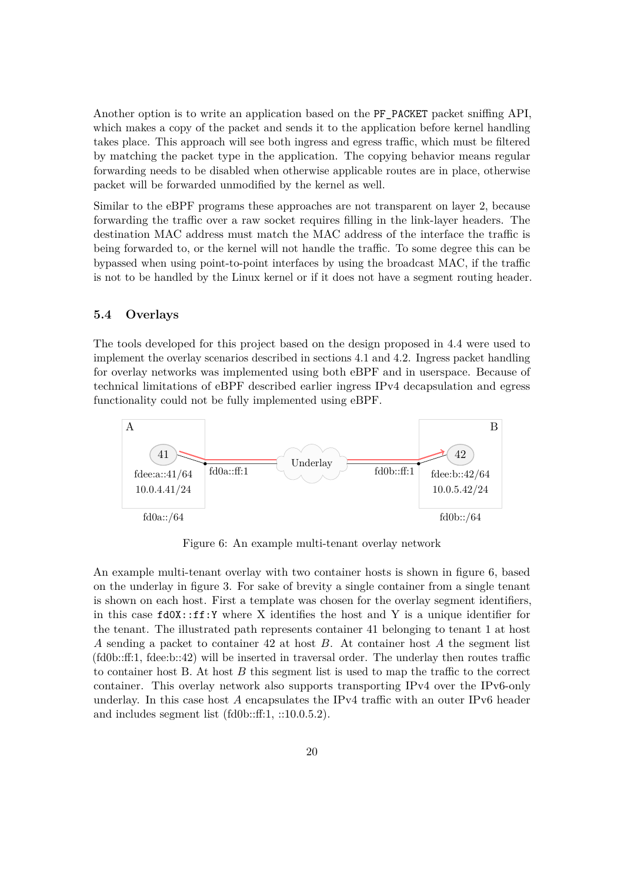Another option is to write an application based on the PF\_PACKET packet sniffing API, which makes a copy of the packet and sends it to the application before kernel handling takes place. This approach will see both ingress and egress traffic, which must be filtered by matching the packet type in the application. The copying behavior means regular forwarding needs to be disabled when otherwise applicable routes are in place, otherwise packet will be forwarded unmodified by the kernel as well.

Similar to the eBPF programs these approaches are not transparent on layer 2, because forwarding the traffic over a raw socket requires filling in the link-layer headers. The destination MAC address must match the MAC address of the interface the traffic is being forwarded to, or the kernel will not handle the traffic. To some degree this can be bypassed when using point-to-point interfaces by using the broadcast MAC, if the traffic is not to be handled by the Linux kernel or if it does not have a segment routing header.

#### <span id="page-20-0"></span>**5.4 Overlays**

The tools developed for this project based on the design proposed in [4.4](#page-11-0) were used to implement the overlay scenarios described in sections [4.1](#page-8-0) and [4.2.](#page-9-0) Ingress packet handling for overlay networks was implemented using both eBPF and in userspace. Because of technical limitations of eBPF described earlier ingress IPv4 decapsulation and egress functionality could not be fully implemented using eBPF.

<span id="page-20-1"></span>

Figure 6: An example multi-tenant overlay network

An example multi-tenant overlay with two container hosts is shown in figure [6,](#page-20-1) based on the underlay in figure [3.](#page-14-1) For sake of brevity a single container from a single tenant is shown on each host. First a template was chosen for the overlay segment identifiers, in this case  $fd0X:$ : $ff:Y$  where X identifies the host and Y is a unique identifier for the tenant. The illustrated path represents container 41 belonging to tenant 1 at host *A* sending a packet to container 42 at host *B*. At container host *A* the segment list (fd0b::ff:1, fdee:b::42) will be inserted in traversal order. The underlay then routes traffic to container host B. At host *B* this segment list is used to map the traffic to the correct container. This overlay network also supports transporting IPv4 over the IPv6-only underlay. In this case host *A* encapsulates the IPv4 traffic with an outer IPv6 header and includes segment list (fd0b::ff:1, ::10.0.5.2).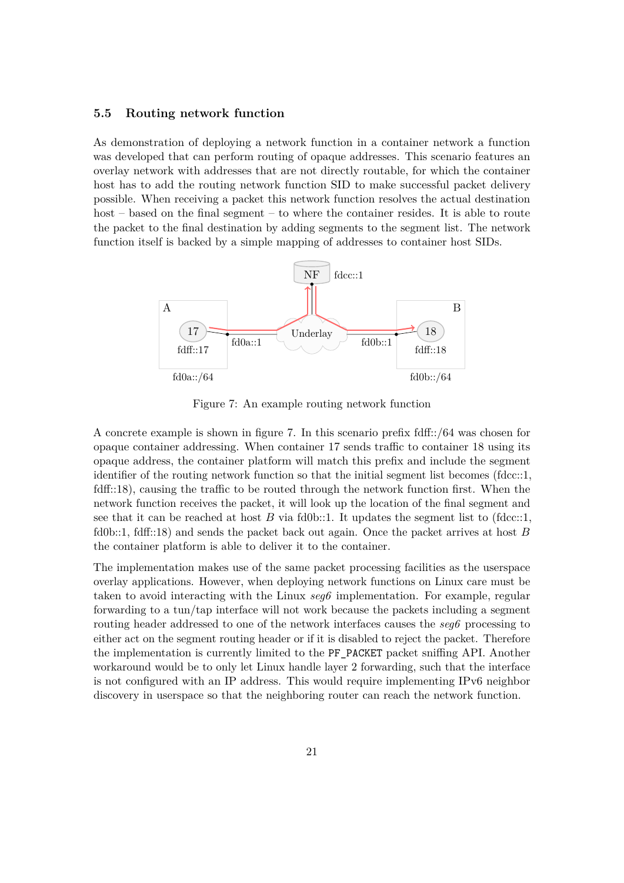#### <span id="page-21-0"></span>**5.5 Routing network function**

As demonstration of deploying a network function in a container network a function was developed that can perform routing of opaque addresses. This scenario features an overlay network with addresses that are not directly routable, for which the container host has to add the routing network function SID to make successful packet delivery possible. When receiving a packet this network function resolves the actual destination host – based on the final segment – to where the container resides. It is able to route the packet to the final destination by adding segments to the segment list. The network function itself is backed by a simple mapping of addresses to container host SIDs.

<span id="page-21-1"></span>

Figure 7: An example routing network function

A concrete example is shown in figure [7.](#page-21-1) In this scenario prefix fdff::/64 was chosen for opaque container addressing. When container 17 sends traffic to container 18 using its opaque address, the container platform will match this prefix and include the segment identifier of the routing network function so that the initial segment list becomes (fdcc::1, fdff::18), causing the traffic to be routed through the network function first. When the network function receives the packet, it will look up the location of the final segment and see that it can be reached at host  $B$  via fd0b::1. It updates the segment list to (fdcc::1, fd0b::1, fdff::18) and sends the packet back out again. Once the packet arrives at host *B* the container platform is able to deliver it to the container.

The implementation makes use of the same packet processing facilities as the userspace overlay applications. However, when deploying network functions on Linux care must be taken to avoid interacting with the Linux *seg6* implementation. For example, regular forwarding to a tun/tap interface will not work because the packets including a segment routing header addressed to one of the network interfaces causes the *seg6* processing to either act on the segment routing header or if it is disabled to reject the packet. Therefore the implementation is currently limited to the PF\_PACKET packet sniffing API. Another workaround would be to only let Linux handle layer 2 forwarding, such that the interface is not configured with an IP address. This would require implementing IPv6 neighbor discovery in userspace so that the neighboring router can reach the network function.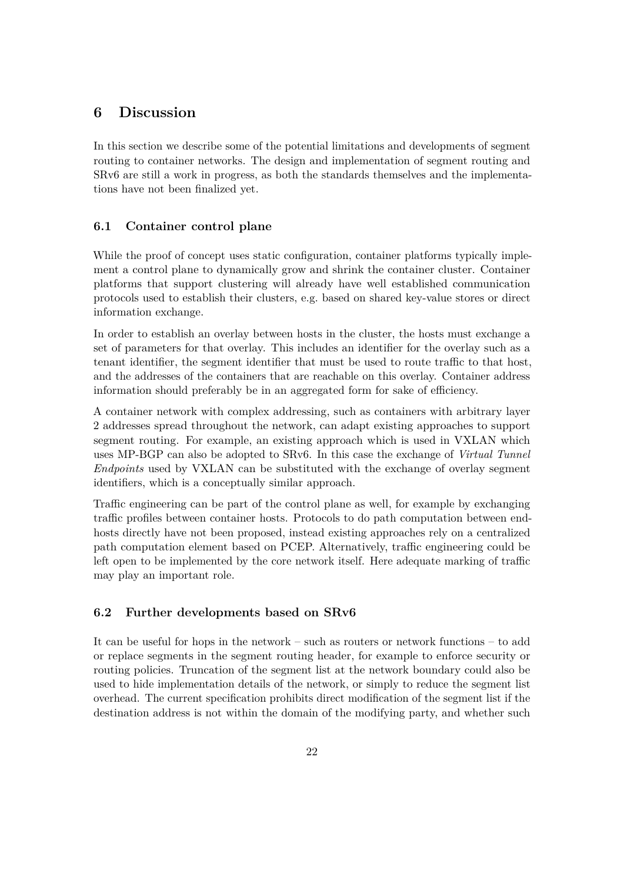# <span id="page-22-0"></span>**6 Discussion**

In this section we describe some of the potential limitations and developments of segment routing to container networks. The design and implementation of segment routing and SRv6 are still a work in progress, as both the standards themselves and the implementations have not been finalized yet.

### <span id="page-22-1"></span>**6.1 Container control plane**

While the proof of concept uses static configuration, container platforms typically implement a control plane to dynamically grow and shrink the container cluster. Container platforms that support clustering will already have well established communication protocols used to establish their clusters, e.g. based on shared key-value stores or direct information exchange.

In order to establish an overlay between hosts in the cluster, the hosts must exchange a set of parameters for that overlay. This includes an identifier for the overlay such as a tenant identifier, the segment identifier that must be used to route traffic to that host, and the addresses of the containers that are reachable on this overlay. Container address information should preferably be in an aggregated form for sake of efficiency.

A container network with complex addressing, such as containers with arbitrary layer 2 addresses spread throughout the network, can adapt existing approaches to support segment routing. For example, an existing approach which is used in VXLAN which uses MP-BGP can also be adopted to SRv6. In this case the exchange of *Virtual Tunnel Endpoints* used by VXLAN can be substituted with the exchange of overlay segment identifiers, which is a conceptually similar approach.

Traffic engineering can be part of the control plane as well, for example by exchanging traffic profiles between container hosts. Protocols to do path computation between endhosts directly have not been proposed, instead existing approaches rely on a centralized path computation element based on PCEP. Alternatively, traffic engineering could be left open to be implemented by the core network itself. Here adequate marking of traffic may play an important role.

### <span id="page-22-2"></span>**6.2 Further developments based on SRv6**

It can be useful for hops in the network – such as routers or network functions – to add or replace segments in the segment routing header, for example to enforce security or routing policies. Truncation of the segment list at the network boundary could also be used to hide implementation details of the network, or simply to reduce the segment list overhead. The current specification prohibits direct modification of the segment list if the destination address is not within the domain of the modifying party, and whether such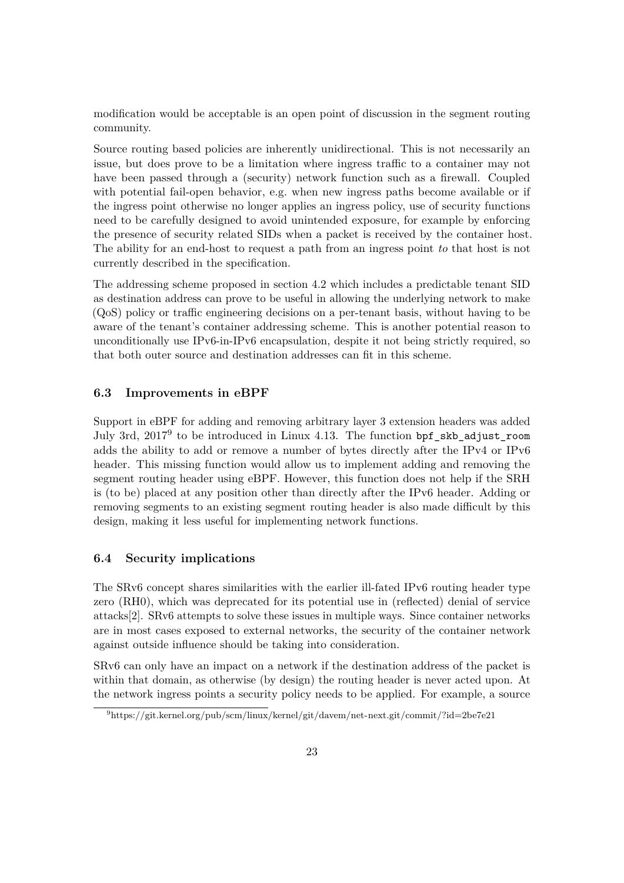modification would be acceptable is an open point of discussion in the segment routing community.

Source routing based policies are inherently unidirectional. This is not necessarily an issue, but does prove to be a limitation where ingress traffic to a container may not have been passed through a (security) network function such as a firewall. Coupled with potential fail-open behavior, e.g. when new ingress paths become available or if the ingress point otherwise no longer applies an ingress policy, use of security functions need to be carefully designed to avoid unintended exposure, for example by enforcing the presence of security related SIDs when a packet is received by the container host. The ability for an end-host to request a path from an ingress point *to* that host is not currently described in the specification.

The addressing scheme proposed in section [4.2](#page-9-0) which includes a predictable tenant SID as destination address can prove to be useful in allowing the underlying network to make (QoS) policy or traffic engineering decisions on a per-tenant basis, without having to be aware of the tenant's container addressing scheme. This is another potential reason to unconditionally use IPv6-in-IPv6 encapsulation, despite it not being strictly required, so that both outer source and destination addresses can fit in this scheme.

#### <span id="page-23-0"></span>**6.3 Improvements in eBPF**

Support in eBPF for adding and removing arbitrary layer 3 extension headers was added July 3rd, 2017[9](#page-23-2) to be introduced in Linux 4.13. The function bpf\_skb\_adjust\_room adds the ability to add or remove a number of bytes directly after the IPv4 or IPv6 header. This missing function would allow us to implement adding and removing the segment routing header using eBPF. However, this function does not help if the SRH is (to be) placed at any position other than directly after the IPv6 header. Adding or removing segments to an existing segment routing header is also made difficult by this design, making it less useful for implementing network functions.

#### <span id="page-23-1"></span>**6.4 Security implications**

The SRv6 concept shares similarities with the earlier ill-fated IPv6 routing header type zero (RH0), which was deprecated for its potential use in (reflected) denial of service attacks[\[2\]](#page-26-12). SRv6 attempts to solve these issues in multiple ways. Since container networks are in most cases exposed to external networks, the security of the container network against outside influence should be taking into consideration.

SRv6 can only have an impact on a network if the destination address of the packet is within that domain, as otherwise (by design) the routing header is never acted upon. At the network ingress points a security policy needs to be applied. For example, a source

<span id="page-23-2"></span> $^{9}$ <https://git.kernel.org/pub/scm/linux/kernel/git/davem/net-next.git/commit/?id=2be7e21>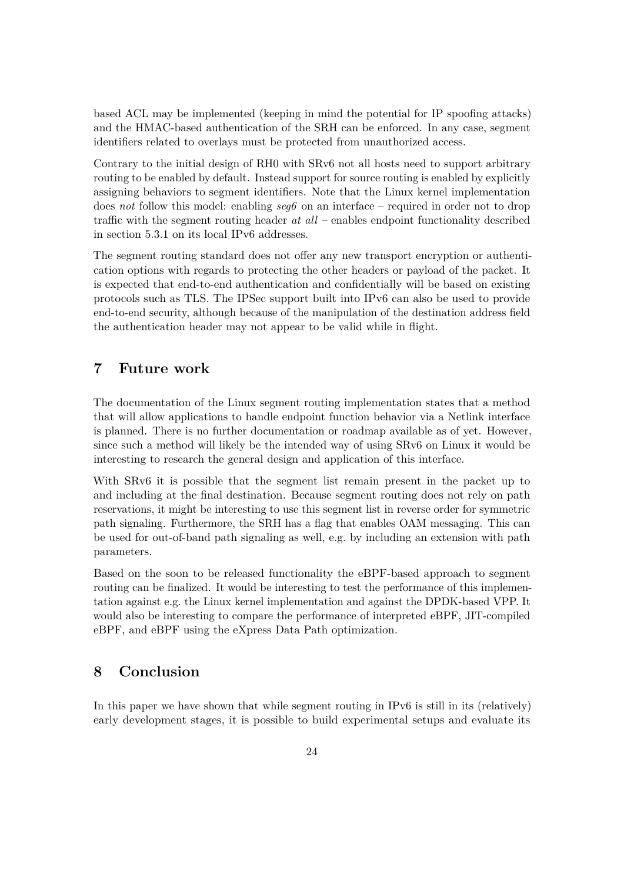based ACL may be implemented (keeping in mind the potential for IP spoofing attacks) and the HMAC-based authentication of the SRH can be enforced. In any case, segment identifiers related to overlays must be protected from unauthorized access.

Contrary to the initial design of RH0 with SRv6 not all hosts need to support arbitrary routing to be enabled by default. Instead support for source routing is enabled by explicitly assigning behaviors to segment identifiers. Note that the Linux kernel implementation does *not* follow this model: enabling *seg6* on an interface – required in order not to drop traffic with the segment routing header *at all* – enables endpoint functionality described in section [5.3.1](#page-15-1) on its local IPv6 addresses.

The segment routing standard does not offer any new transport encryption or authentication options with regards to protecting the other headers or payload of the packet. It is expected that end-to-end authentication and confidentially will be based on existing protocols such as TLS. The IPSec support built into IPv6 can also be used to provide end-to-end security, although because of the manipulation of the destination address field the authentication header may not appear to be valid while in flight.

# <span id="page-24-0"></span>**7 Future work**

The documentation of the Linux segment routing implementation states that a method that will allow applications to handle endpoint function behavior via a Netlink interface is planned. There is no further documentation or roadmap available as of yet. However, since such a method will likely be the intended way of using SRv6 on Linux it would be interesting to research the general design and application of this interface.

With SRv6 it is possible that the segment list remain present in the packet up to and including at the final destination. Because segment routing does not rely on path reservations, it might be interesting to use this segment list in reverse order for symmetric path signaling. Furthermore, the SRH has a flag that enables OAM messaging. This can be used for out-of-band path signaling as well, e.g. by including an extension with path parameters.

Based on the soon to be released functionality the eBPF-based approach to segment routing can be finalized. It would be interesting to test the performance of this implementation against e.g. the Linux kernel implementation and against the DPDK-based VPP. It would also be interesting to compare the performance of interpreted eBPF, JIT-compiled eBPF, and eBPF using the eXpress Data Path optimization.

# <span id="page-24-1"></span>**8 Conclusion**

In this paper we have shown that while segment routing in IPv6 is still in its (relatively) early development stages, it is possible to build experimental setups and evaluate its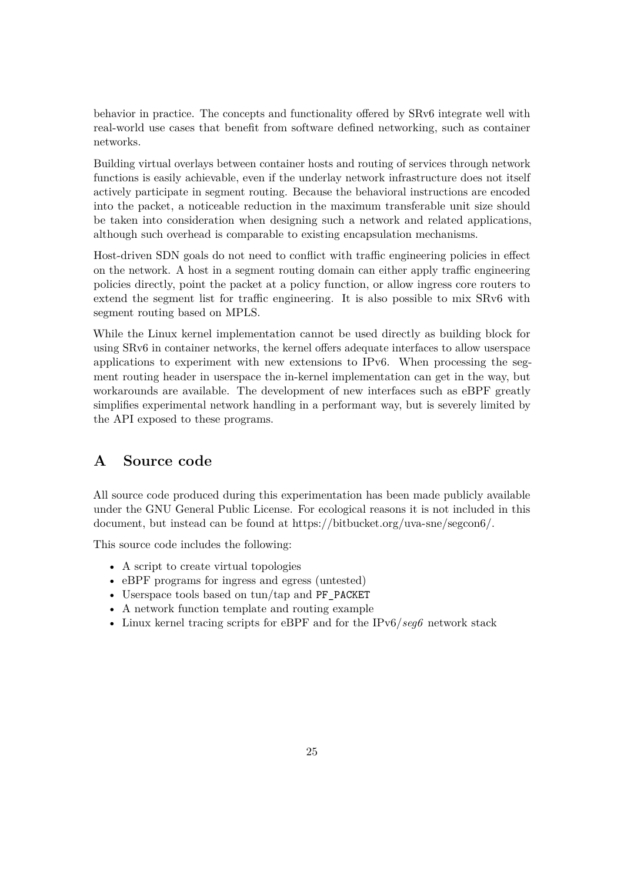behavior in practice. The concepts and functionality offered by SRv6 integrate well with real-world use cases that benefit from software defined networking, such as container networks.

Building virtual overlays between container hosts and routing of services through network functions is easily achievable, even if the underlay network infrastructure does not itself actively participate in segment routing. Because the behavioral instructions are encoded into the packet, a noticeable reduction in the maximum transferable unit size should be taken into consideration when designing such a network and related applications, although such overhead is comparable to existing encapsulation mechanisms.

Host-driven SDN goals do not need to conflict with traffic engineering policies in effect on the network. A host in a segment routing domain can either apply traffic engineering policies directly, point the packet at a policy function, or allow ingress core routers to extend the segment list for traffic engineering. It is also possible to mix SRv6 with segment routing based on MPLS.

While the Linux kernel implementation cannot be used directly as building block for using SRv6 in container networks, the kernel offers adequate interfaces to allow userspace applications to experiment with new extensions to IPv6. When processing the segment routing header in userspace the in-kernel implementation can get in the way, but workarounds are available. The development of new interfaces such as eBPF greatly simplifies experimental network handling in a performant way, but is severely limited by the API exposed to these programs.

# <span id="page-25-0"></span>**A Source code**

All source code produced during this experimentation has been made publicly available under the GNU General Public License. For ecological reasons it is not included in this document, but instead can be found at [https://bitbucket.org/uva-sne/segcon6/.](https://bitbucket.org/uva-sne/segcon6/)

This source code includes the following:

- A script to create virtual topologies
- eBPF programs for ingress and egress (untested)
- Userspace tools based on tun/tap and PF\_PACKET
- A network function template and routing example
- Linux kernel tracing scripts for eBPF and for the IPv6/*seg6* network stack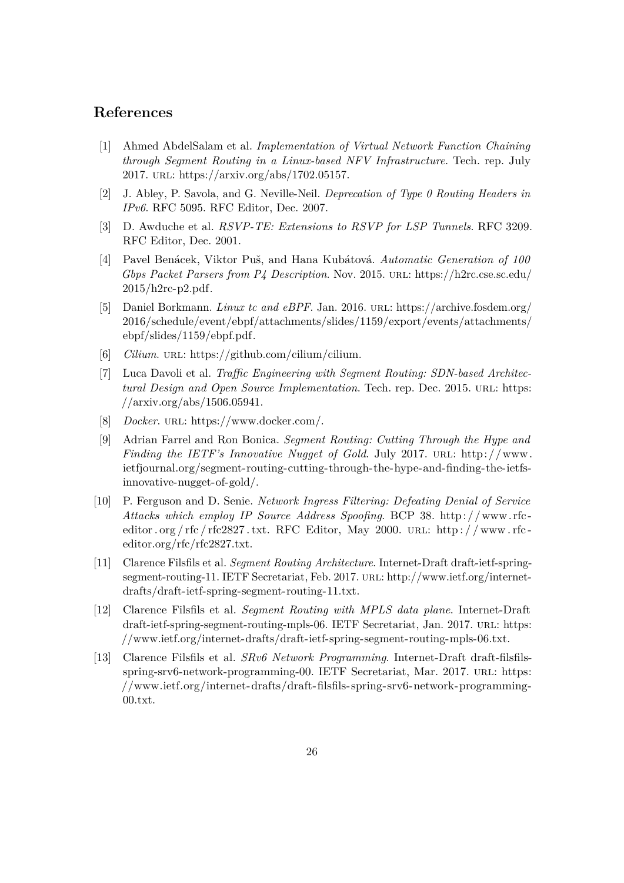# **References**

- <span id="page-26-9"></span>[1] Ahmed AbdelSalam et al. *Implementation of Virtual Network Function Chaining through Segment Routing in a Linux-based NFV Infrastructure*. Tech. rep. July 2017. url: [https://arxiv.org/abs/1702.05157.](https://arxiv.org/abs/1702.05157)
- <span id="page-26-12"></span>[2] J. Abley, P. Savola, and G. Neville-Neil. *Deprecation of Type 0 Routing Headers in IPv6*. RFC 5095. RFC Editor, Dec. 2007.
- <span id="page-26-3"></span>[3] D. Awduche et al. *RSVP-TE: Extensions to RSVP for LSP Tunnels*. RFC 3209. RFC Editor, Dec. 2001.
- <span id="page-26-11"></span>[4] Pavel Benácek, Viktor Puš, and Hana Kubátová. *Automatic Generation of 100 Gbps Packet Parsers from P4 Description*. Nov. 2015. url: [https://h2rc.cse.sc.edu/](https://h2rc.cse.sc.edu/2015/h2rc-p2.pdf) [2015/h2rc-p2.pdf.](https://h2rc.cse.sc.edu/2015/h2rc-p2.pdf)
- <span id="page-26-8"></span>[5] Daniel Borkmann. *Linux tc and eBPF*. Jan. 2016. url: [https://archive.fosdem.org/](https://archive.fosdem.org/2016/schedule/event/ebpf/attachments/slides/1159/export/events/attachments/ebpf/slides/1159/ebpf.pdf) [2016/schedule/event/ebpf/attachments/slides/1159/export/events/attachments/](https://archive.fosdem.org/2016/schedule/event/ebpf/attachments/slides/1159/export/events/attachments/ebpf/slides/1159/ebpf.pdf) [ebpf/slides/1159/ebpf.pdf.](https://archive.fosdem.org/2016/schedule/event/ebpf/attachments/slides/1159/export/events/attachments/ebpf/slides/1159/ebpf.pdf)
- <span id="page-26-7"></span>[6] *Cilium*. url: [https://github.com/cilium/cilium.](https://github.com/cilium/cilium)
- <span id="page-26-1"></span>[7] Luca Davoli et al. *Traffic Engineering with Segment Routing: SDN-based Architectural Design and Open Source Implementation*. Tech. rep. Dec. 2015. URL: [https:](https://arxiv.org/abs/1506.05941) [//arxiv.org/abs/1506.05941.](https://arxiv.org/abs/1506.05941)
- <span id="page-26-6"></span>[8] *Docker*. url: [https://www.docker.com/.](https://www.docker.com/)
- <span id="page-26-4"></span>[9] Adrian Farrel and Ron Bonica. *Segment Routing: Cutting Through the Hype and Finding the IETF's Innovative Nugget of Gold.* July 2017. URL: http://www. [ietfjournal.org/segment-routing-cutting-through-the-hype-and-finding-the-ietfs](http://www.ietfjournal.org/segment-routing-cutting-through-the-hype-and-finding-the-ietfs-innovative-nugget-of-gold/)[innovative-nugget-of-gold/.](http://www.ietfjournal.org/segment-routing-cutting-through-the-hype-and-finding-the-ietfs-innovative-nugget-of-gold/)
- <span id="page-26-10"></span>[10] P. Ferguson and D. Senie. *Network Ingress Filtering: Defeating Denial of Service Attacks which employ IP Source Address Spoofing*. BCP 38. [http: / /www. rfc](http://www.rfc-editor.org/rfc/rfc2827.txt)  [editor . org / rfc / rfc2827 . txt.](http://www.rfc-editor.org/rfc/rfc2827.txt) RFC Editor, May 2000. URL: http://www.rfc[editor.org/rfc/rfc2827.txt.](http://www.rfc-editor.org/rfc/rfc2827.txt)
- <span id="page-26-0"></span>[11] Clarence Filsfils et al. *Segment Routing Architecture*. Internet-Draft draft-ietf-springsegment-routing-11. IETF Secretariat, Feb. 2017. URL: [http://www.ietf.org/internet](http://www.ietf.org/internet-drafts/draft-ietf-spring-segment-routing-11.txt)[drafts/draft-ietf-spring-segment-routing-11.txt.](http://www.ietf.org/internet-drafts/draft-ietf-spring-segment-routing-11.txt)
- <span id="page-26-2"></span>[12] Clarence Filsfils et al. *Segment Routing with MPLS data plane*. Internet-Draft draft-ietf-spring-segment-routing-mpls-06. IETF Secretariat, Jan. 2017. URL: [https:](https://www.ietf.org/internet-drafts/draft-ietf-spring-segment-routing-mpls-06.txt) [//www.ietf.org/internet-drafts/draft-ietf-spring-segment-routing-mpls-06.txt.](https://www.ietf.org/internet-drafts/draft-ietf-spring-segment-routing-mpls-06.txt)
- <span id="page-26-5"></span>[13] Clarence Filsfils et al. *SRv6 Network Programming*. Internet-Draft draft-filsfilsspring-srv6-network-programming-00. IETF Secretariat, Mar. 2017. URL: [https:](https://www.ietf.org/internet-drafts/draft-filsfils-spring-srv6-network-programming-00.txt) [//www.ietf.org/internet-drafts/draft-filsfils-spring-srv6-network-programming-](https://www.ietf.org/internet-drafts/draft-filsfils-spring-srv6-network-programming-00.txt)[00.txt.](https://www.ietf.org/internet-drafts/draft-filsfils-spring-srv6-network-programming-00.txt)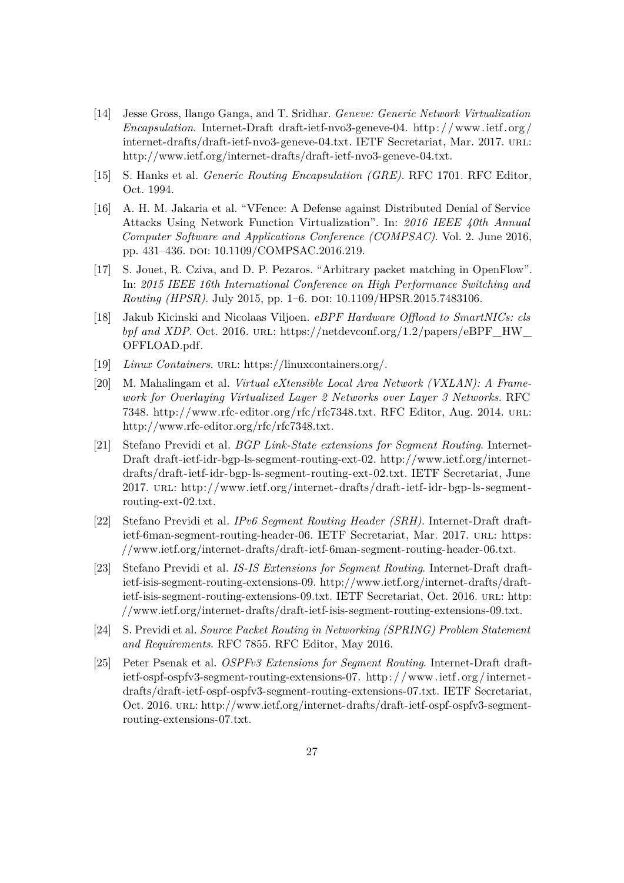- <span id="page-27-9"></span>[14] Jesse Gross, Ilango Ganga, and T. Sridhar. *Geneve: Generic Network Virtualization Encapsulation*. Internet-Draft draft-ietf-nvo3-geneve-04. [http: / /www.ietf. org /](http://www.ietf.org/internet-drafts/draft-ietf-nvo3-geneve-04.txt) [internet-drafts/draft-ietf-nvo3-geneve-04.txt.](http://www.ietf.org/internet-drafts/draft-ietf-nvo3-geneve-04.txt) IETF Secretariat, Mar. 2017. url: [http://www.ietf.org/internet-drafts/draft-ietf-nvo3-geneve-04.txt.](http://www.ietf.org/internet-drafts/draft-ietf-nvo3-geneve-04.txt)
- <span id="page-27-7"></span>[15] S. Hanks et al. *Generic Routing Encapsulation (GRE)*. RFC 1701. RFC Editor, Oct. 1994.
- <span id="page-27-10"></span>[16] A. H. M. Jakaria et al. "VFence: A Defense against Distributed Denial of Service Attacks Using Network Function Virtualization". In: *2016 IEEE 40th Annual Computer Software and Applications Conference (COMPSAC)*. Vol. 2. June 2016, pp. 431–436. doi: [10.1109/COMPSAC.2016.219.](https://doi.org/10.1109/COMPSAC.2016.219)
- <span id="page-27-11"></span>[17] S. Jouet, R. Cziva, and D. P. Pezaros. "Arbitrary packet matching in OpenFlow". In: *2015 IEEE 16th International Conference on High Performance Switching and Routing (HPSR)*. July 2015, pp. 1–6. doi: [10.1109/HPSR.2015.7483106.](https://doi.org/10.1109/HPSR.2015.7483106)
- <span id="page-27-6"></span>[18] Jakub Kicinski and Nicolaas Viljoen. *eBPF Hardware Offload to SmartNICs: cls bpf and XDP*. Oct. 2016. URL: [https://netdevconf.org/1.2/papers/eBPF\\_HW\\_](https://netdevconf.org/1.2/papers/eBPF_HW_OFFLOAD.pdf) [OFFLOAD.pdf.](https://netdevconf.org/1.2/papers/eBPF_HW_OFFLOAD.pdf)
- <span id="page-27-5"></span>[19] *Linux Containers.* URL: [https://linuxcontainers.org/.](https://linuxcontainers.org/)
- <span id="page-27-8"></span>[20] M. Mahalingam et al. *Virtual eXtensible Local Area Network (VXLAN): A Framework for Overlaying Virtualized Layer 2 Networks over Layer 3 Networks*. RFC 7348. [http://www.rfc-editor.org/rfc/rfc7348.txt.](http://www.rfc-editor.org/rfc/rfc7348.txt) RFC Editor, Aug. 2014. url: [http://www.rfc-editor.org/rfc/rfc7348.txt.](http://www.rfc-editor.org/rfc/rfc7348.txt)
- <span id="page-27-4"></span>[21] Stefano Previdi et al. *BGP Link-State extensions for Segment Routing*. Internet-Draft draft-ietf-idr-bgp-ls-segment-routing-ext-02. [http://www.ietf.org/internet](http://www.ietf.org/internet-drafts/draft-ietf-idr-bgp-ls-segment-routing-ext-02.txt)[drafts/draft-ietf-idr-bgp-ls-segment-routing-ext-02.txt.](http://www.ietf.org/internet-drafts/draft-ietf-idr-bgp-ls-segment-routing-ext-02.txt) IETF Secretariat, June 2017. url: [http://www.ietf.org/internet-drafts/draft-ietf-idr-bgp-ls-segment](http://www.ietf.org/internet-drafts/draft-ietf-idr-bgp-ls-segment-routing-ext-02.txt)[routing-ext-02.txt.](http://www.ietf.org/internet-drafts/draft-ietf-idr-bgp-ls-segment-routing-ext-02.txt)
- <span id="page-27-1"></span>[22] Stefano Previdi et al. *IPv6 Segment Routing Header (SRH)*. Internet-Draft draftietf-6man-segment-routing-header-06. IETF Secretariat, Mar. 2017. url: [https:](https://www.ietf.org/internet-drafts/draft-ietf-6man-segment-routing-header-06.txt) [//www.ietf.org/internet-drafts/draft-ietf-6man-segment-routing-header-06.txt.](https://www.ietf.org/internet-drafts/draft-ietf-6man-segment-routing-header-06.txt)
- <span id="page-27-2"></span>[23] Stefano Previdi et al. *IS-IS Extensions for Segment Routing*. Internet-Draft draftietf-isis-segment-routing-extensions-09. [http://www.ietf.org/internet-drafts/draft](http://www.ietf.org/internet-drafts/draft-ietf-isis-segment-routing-extensions-09.txt)[ietf-isis-segment-routing-extensions-09.txt.](http://www.ietf.org/internet-drafts/draft-ietf-isis-segment-routing-extensions-09.txt) IETF Secretariat, Oct. 2016. URL: [http:](http://www.ietf.org/internet-drafts/draft-ietf-isis-segment-routing-extensions-09.txt) [//www.ietf.org/internet-drafts/draft-ietf-isis-segment-routing-extensions-09.txt.](http://www.ietf.org/internet-drafts/draft-ietf-isis-segment-routing-extensions-09.txt)
- <span id="page-27-0"></span>[24] S. Previdi et al. *Source Packet Routing in Networking (SPRING) Problem Statement and Requirements*. RFC 7855. RFC Editor, May 2016.
- <span id="page-27-3"></span>[25] Peter Psenak et al. *OSPFv3 Extensions for Segment Routing*. Internet-Draft draftietf-ospf-ospfv3-segment-routing-extensions-07. [http: / /www.ietf. org /internet](http://www.ietf.org/internet-drafts/draft-ietf-ospf-ospfv3-segment-routing-extensions-07.txt)  [drafts/draft-ietf-ospf-ospfv3-segment-routing-extensions-07.txt.](http://www.ietf.org/internet-drafts/draft-ietf-ospf-ospfv3-segment-routing-extensions-07.txt) IETF Secretariat, Oct. 2016. url: [http://www.ietf.org/internet-drafts/draft-ietf-ospf-ospfv3-segment](http://www.ietf.org/internet-drafts/draft-ietf-ospf-ospfv3-segment-routing-extensions-07.txt)[routing-extensions-07.txt.](http://www.ietf.org/internet-drafts/draft-ietf-ospf-ospfv3-segment-routing-extensions-07.txt)